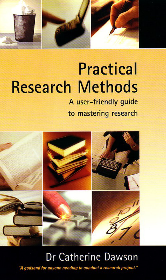

# **Practical Research Methods** A user-friendly guide

to mastering research



## Dr Catherine Dawson

"A godsend for anyone needing to conduct a research project."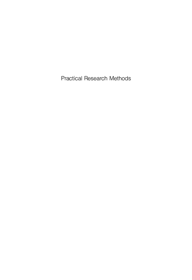Practical Research Methods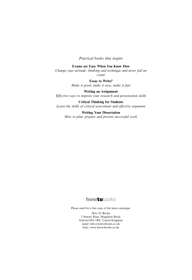#### Practical books that inspire

#### Exams are Easy When You Know How

Change your attitude, thinking and technique and never fail an exam

#### Essay to Write?

Make it good, make it easy, make it fun!

#### Writing an Assignment

Effective ways to improve your research and presentation skills

#### Critical Thinking for Students Learn the skills of critical assessment and effective argument

#### Writing Your Dissertation

How to plan, prepare and present successful work



Please send for a free copy of the latest catalogue:

How To Books 3 Newtec Place, Magdalen Road, Oxford OX4 1RE, United Kingdom email: info@howtobooks.co.uk http://www.howtobooks.co.uk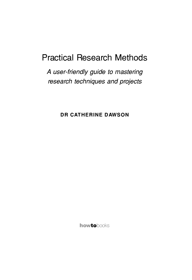# Practical Research Methods

A user-friendly guide to mastering research techniques and projects

DR CATHERINE DAWSON

**howto**books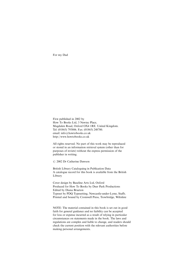For my Dad

First published in 2002 by How To Books Ltd, 3 Newtec Place, Magdalen Road, Oxford OX4 1RE. United Kingdom. Tel: (01865) 793806. Fax: (01865) 248780. email: info@howtobooks.co.uk http://www.howtobooks.co.uk

All rights reserved. No part of this work may be reproduced or stored in an information retrieval system (other than for purposes of review) without the express permission of the publisher in writing.

 $\odot$  2002 Dr Catherine Dawson

British Library Cataloguing in Publication Data A catalogue record for this book is available from the British Library

Cover design by Baseline Arts Ltd, Oxford Produced for How To Books by Deer Park Productions Edited by Diana Brueton Typeset by PDQ Typesetting, Newcastle-under-Lyme, Staffs. Printed and bound by Cromwell Press, Trowbridge, Wiltshire

NOTE: The material contained in this book is set out in good faith for general guidance and no liability can be accepted for loss or expense incurred as a result of relying in particular circumstances on statements made in the book. The laws and regulations are complex and liable to change, and readers should check the current position with the relevant authorities before making personal arrangements.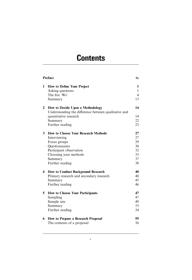# **Contents**

|              | Preface                                                                                  |                                           |
|--------------|------------------------------------------------------------------------------------------|-------------------------------------------|
| 1            | <b>How to Define Your Project</b><br>Asking questions<br>The five 'Ws'<br>Summary        | 1<br>$\mathbf{1}$<br>$\overline{4}$<br>13 |
| $\mathbf{2}$ | How to Decide Upon a Methodology<br>Understanding the difference between qualitative and | 14                                        |
|              | quantitative research                                                                    | 14                                        |
|              | Summary<br>Further reading                                                               | 22<br>23                                  |
|              |                                                                                          |                                           |
| 3            | <b>How to Choose Your Research Methods</b>                                               | 27                                        |
|              | Interviewing                                                                             | 27                                        |
|              | Focus groups                                                                             | 29                                        |
|              | Questionnaires                                                                           | 30                                        |
|              | Participant observation                                                                  | 32                                        |
|              | Choosing your methods                                                                    | 33                                        |
|              | Summary                                                                                  | 37                                        |
|              | Further reading                                                                          | 38                                        |
| 4            | <b>How to Conduct Background Research</b>                                                | 40                                        |
|              | Primary research and secondary research                                                  | 40                                        |
|              | Summary                                                                                  | 45                                        |
|              | Further reading                                                                          | 46                                        |
| 5            | <b>How to Choose Your Participants</b>                                                   | 47                                        |
|              | Sampling                                                                                 | 47                                        |
|              | Sample size                                                                              | 49                                        |
|              | Summary                                                                                  | 53                                        |
|              | Further reading                                                                          | 54                                        |
| 6            | How to Prepare a Research Proposal                                                       | 55                                        |
|              | The contents of a proposal                                                               | 56                                        |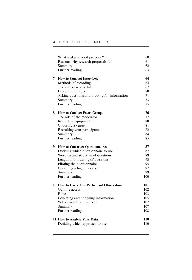|   | What makes a good proposal?                  | 60  |
|---|----------------------------------------------|-----|
|   | Reasons why research proposals fail          | 61  |
|   | Summary                                      | 62  |
|   | Further reading                              | 63  |
| 7 | <b>How to Conduct Interviews</b>             | 64  |
|   | Methods of recording                         | 64  |
|   | The interview schedule                       | 67  |
|   | Establishing rapport                         | 70  |
|   | Asking questions and probing for information | 71  |
|   | Summary                                      | 73  |
|   | Further reading                              | 75  |
| 8 | <b>How to Conduct Focus Groups</b>           | 76  |
|   | The role of the moderator                    | 77  |
|   | Recording equipment                          | 80  |
|   | Choosing a venue                             | 81  |
|   | Recruiting your participants                 | 82  |
|   | Summary                                      | 84  |
|   | Further reading                              | 85  |
| 9 | <b>How to Construct Questionnaires</b>       | 87  |
|   | Deciding which questionnaire to use          | 87  |
|   | Wording and structure of questions           | 89  |
|   | Length and ordering of questions             | 93  |
|   | Piloting the questionnaire                   | 95  |
|   | Obtaining a high response                    | 97  |
|   | Summary                                      | 99  |
|   | Further reading                              | 100 |
|   | 10 How to Carry Out Participant Observation  | 101 |
|   | Gaining access                               | 102 |
|   | Ethics                                       | 103 |
|   | Collecting and analysing information         | 105 |
|   | Withdrawal from the field                    | 107 |
|   | Summary                                      | 107 |
|   | Further reading                              | 108 |
|   | 11 How to Analyse Your Data                  | 110 |
|   | Deciding which approach to use               | 110 |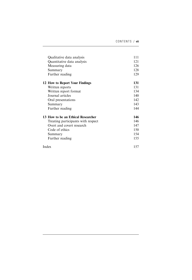| Qualitative data analysis          | 111 |
|------------------------------------|-----|
| Quantitative data analysis         | 121 |
| Measuring data                     | 126 |
| Summary                            | 128 |
| Further reading                    | 129 |
| 12 How to Report Your Findings     | 131 |
| Written reports                    | 131 |
| Written report format              | 134 |
| Journal articles                   | 140 |
| Oral presentations                 | 142 |
| Summary                            | 143 |
| Further reading                    | 144 |
| 13 How to be an Ethical Researcher | 146 |
| Treating participants with respect | 146 |
| Overt and covert research          | 147 |
| Code of ethics                     | 150 |
| Summary                            | 154 |
| Further reading                    | 155 |
| Index                              | 157 |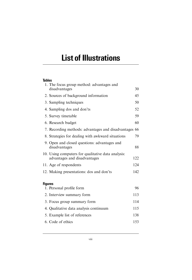# List of Illustrations

| <b>Tables</b>  |                                                                                    |     |
|----------------|------------------------------------------------------------------------------------|-----|
|                | 1. The focus group method: advantages and<br>disadvantages                         | 30  |
|                | 2. Sources of background information                                               | 45  |
|                | 3. Sampling techniques                                                             | 50  |
|                | 4. Sampling dos and don'ts                                                         | 52  |
|                | 5. Survey timetable                                                                | 59  |
|                | 6. Research budget                                                                 | 60  |
|                | 7. Recording methods: advantages and disadvantages 66                              |     |
|                | 8. Strategies for dealing with awkward situations                                  | 79  |
|                | 9. Open and closed questions: advantages and<br>disadvantages                      | 88  |
|                | 10. Using computers for qualitative data analysis:<br>advantages and disadvantages | 122 |
|                | 11. Age of respondents                                                             | 124 |
|                | 12. Making presentations: dos and don'ts                                           | 142 |
|                |                                                                                    |     |
| <b>Figures</b> | 1. Personal profile form                                                           | 96  |
|                | 2. Interview summary form                                                          | 113 |
|                | 3. Focus group summary form                                                        | 114 |
|                | 4. Qualitative data analysis continuum                                             | 115 |
|                | 5. Example list of references                                                      | 138 |
|                | 6. Code of ethics                                                                  | 153 |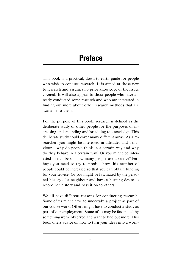This book is a practical, down-to-earth guide for people who wish to conduct research. It is aimed at those new to research and assumes no prior knowledge of the issues covered. It will also appeal to those people who have already conducted some research and who are interested in finding out more about other research methods that are available to them.

For the purpose of this book, research is defined as the deliberate study of other people for the purposes of increasing understanding and/or adding to knowledge. This deliberate study could cover many different areas. As a researcher, you might be interested in attitudes and behaviour – why do people think in a certain way and why do they behave in a certain way? Or you might be interested in numbers – how many people use a service? Perhaps you need to try to predict how this number of people could be increased so that you can obtain funding for your service. Or you might be fascinated by the personal history of a neighbour and have a burning desire to record her history and pass it on to others.

We all have different reasons for conducting research. Some of us might have to undertake a project as part of our course work. Others might have to conduct a study as part of our employment. Some of us may be fascinated by something we've observed and want to find out more. This book offers advice on how to turn your ideas into a work-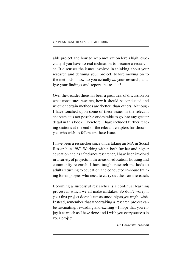able project and how to keep motivation levels high, especially if you have no real inclination to become a researcher. It discusses the issues involved in thinking about your research and defining your project, before moving on to the methods – how do you actually  $do$  your research, analyse your findings and report the results?

Over the decades there has been a great deal of discussion on what constitutes research, how it should be conducted and whether certain methods are 'better' than others. Although I have touched upon some of these issues in the relevant chapters, it is not possible or desirable to go into any greater detail in this book. Therefore, I have included further reading sections at the end of the relevant chapters for those of you who wish to follow up these issues.

I have been a researcher since undertaking an MA in Social Research in 1987. Working within both further and higher education and as a freelance researcher, I have been involved in a variety of projects in the areas of education, housing and community research. I have taught research methods to adults returning to education and conducted in-house training for employees who need to carry out their own research.

Becoming a successful researcher is a continual learning process in which we all make mistakes. So don't worry if your first project doesn't run as smoothly as you might wish. Instead, remember that undertaking a research project can be fascinating, rewarding and exciting – I hope that you enjoy it as much as I have done and I wish you every success in your project.

Dr Catherine Dawson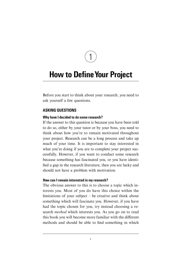1

# **How to Define Your Project**

Before you start to think about your research, you need to ask yourself a few questions.

## ASKING QUESTIONS

## Why have I decided to do some research?

If the answer to this question is because you have been told to do so, either by your tutor or by your boss, you need to think about how you're to remain motivated throughout your project. Research can be a long process and take up much of your time. It is important to stay interested in what you're doing if you are to complete your project successfully. However, if you want to conduct some research because something has fascinated you, or you have identified a gap in the research literature, then you are lucky and should not have a problem with motivation.

### How can I remain interested in my research?

The obvious answer to this is to choose a topic which interests you. Most of you do have this choice within the limitations of your subject – be creative and think about something which will fascinate you. However, if you have had the topic chosen for you, try instead choosing a research *method* which interests you. As you go on to read this book you will become more familiar with the different methods and should be able to find something in which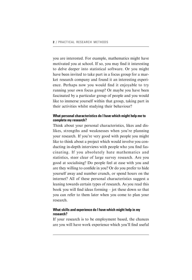you are interested. For example, mathematics might have motivated you at school. If so, you may find it interesting to delve deeper into statistical software. Or you might have been invited to take part in a focus group for a market research company and found it an interesting experience. Perhaps now you would find it enjoyable to try running your own focus group? Or maybe you have been fascinated by a particular group of people and you would like to immerse yourself within that group, taking part in their activities whilst studying their behaviour?

#### What personal characteristics do I have which might help me to complete my research?

Think about your personal characteristics, likes and dislikes, strengths and weaknesses when you're planning your research. If you're very good with people you might like to think about a project which would involve you conducting in-depth interviews with people who you find fascinating. If you absolutely hate mathematics and statistics, steer clear of large survey research. Are you good at socialising? Do people feel at ease with you and are they willing to confide in you? Or do you prefer to hide yourself away and number crunch, or spend hours on the internet? All of these personal characteristics suggest a leaning towards certain types of research. As you read this book you will find ideas forming – jot these down so that you can refer to them later when you come to plan your research.

#### What skills and experience do I have which might help in my research?

If your research is to be employment based, the chances are you will have work experience which you'll find useful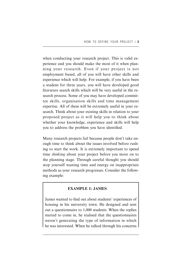when conducting your research project. This is valid experience and you should make the most of it when planning your research. Even if your project is not employment based, all of you will have other skills and experience which will help. For example, if you have been a student for three years, you will have developed good literature search skills which will be very useful in the research process. Some of you may have developed committee skills, organisation skills and time management expertise. All of these will be extremely useful in your research. Think about your existing skills in relation to your proposed project as it will help you to think about whether your knowledge, experience and skills will help you to address the problem you have identified.

Many research projects fail because people don't take enough time to think about the issues involved before rushing to start the work. It is extremely important to spend time thinking about your project before you move on to the planning stage. Through careful thought you should stop yourself wasting time and energy on inappropriate methods as your research progresses. Consider the following example:

## EXAMPLE 1: JAMES

James wanted to find out about students' experiences of housing in his university town. He designed and sent out a questionnaire to 1,000 students. When the replies started to come in, he realised that the questionnaires weren't generating the type of information in which he was interested. When he talked through his concerns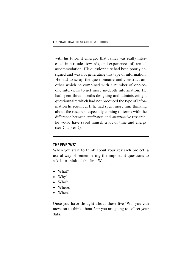with his tutor, it emerged that James was really interested in attitudes towards, and experiences of, rented accommodation. His questionnaire had been poorly designed and was not generating this type of information. He had to scrap the questionnaire and construct another which he combined with a number of one-toone interviews to get more in-depth information. He had spent three months designing and administering a questionnaire which had not produced the type of information he required. If he had spent more time thinking about the research, especially coming to terms with the difference between *qualitative* and *quantitative* research, he would have saved himself a lot of time and energy (see Chapter 2).

## THE FIVE'WS'

When you start to think about your research project, a useful way of remembering the important questions to ask is to think of the five 'Ws':

- $\bullet$  What?
- $\blacklozenge$  Why?
- $\bullet$  Who?
- $\blacktriangleright$  Where?
- $\blacktriangleright$  When?

Once you have thought about these five 'Ws' you can move on to think about *how* you are going to collect your data.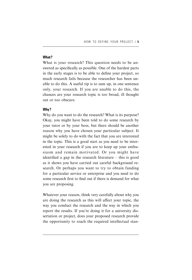#### What?

What is your research? This question needs to be answered as specifically as possible. One of the hardest parts in the early stages is to be able to define your project, so much research fails because the researcher has been unable to do this. A useful tip is to sum up, in one sentence only, your research. If you are unable to do this, the chances are your research topic is too broad, ill thought out or too obscure.

#### Why?

Why do you want to do the research? What is its purpose? Okay, you might have been told to do some research by your tutor or by your boss, but there should be another reason why you have chosen your particular subject. It might be solely to do with the fact that you are interested in the topic. This is a good start as you need to be interested in your research if you are to keep up your enthusiasm and remain motivated. Or you might have identified a gap in the research literature – this is good as it shows you have carried out careful background research. Or perhaps you want to try to obtain funding for a particular service or enterprise and you need to do some research first to find out if there is demand for what you are proposing.

Whatever your reason, think very carefully about why you are doing the research as this will affect your topic, the way you conduct the research and the way in which you report the results. If you're doing it for a university dissertation or project, does your proposed research provide the opportunity to reach the required intellectual stan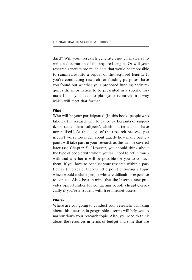dard? Will your research generate enough material to write a dissertation of the required length? Or will your research generate too much data that would be impossible to summarise into a report of the required length? If you're conducting research for funding purposes, have you found out whether your proposed funding body requires the information to be presented in a specific format? If so, you need to plan your research in a way which will meet that format.

## Who?

Who will be your participants? (In this book, people who take part in research will be called participants or respondents, rather than 'subjects', which is a term that I have never liked.) At this stage of the research process, you needn't worry too much about exactly how many participants will take part in your research as this will be covered later (see Chapter 5). However, you should think about the type of people with whom you will need to get in touch with and whether it will be possible for you to contact them. If you have to conduct your research within a particular time scale, there's little point choosing a topic which would include people who are difficult or expensive to contact. Also, bear in mind that the Internet now provides opportunities for contacting people cheaply, especially if you're a student with free internet access.

### Where?

Where are you going to conduct your research? Thinking about this question in geographical terms will help you to narrow down your research topic. Also, you need to think about the resources in terms of budget and time that are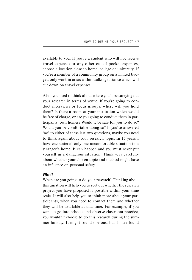available to you. If you're a student who will not receive travel expenses or any other out of pocket expenses, choose a location close to home, college or university. If you're a member of a community group on a limited budget, only work in areas within walking distance which will cut down on travel expenses.

Also, you need to think about where you'll be carrying out your research in terms of venue. If you're going to conduct interviews or focus groups, where will you hold them? Is there a room at your institution which would be free of charge, or are you going to conduct them in participants' own homes? Would it be safe for you to do so? Would you be comfortable doing so? If you've answered 'no' to either of these last two questions, maybe you need to think again about your research topic. In 15 years I have encountered only one uncomfortable situation in a stranger's home. It can happen and you must never put yourself in a dangerous situation. Think very carefully about whether your chosen topic and method might have an influence on personal safety.

### When?

When are you going to do your research? Thinking about this question will help you to sort out whether the research project you have proposed is possible within your time scale. It will also help you to think more about your participants, when you need to contact them and whether they will be available at that time. For example, if you want to go into schools and observe classroom practice, you wouldn't choose to do this research during the summer holiday. It might sound obvious, but I have found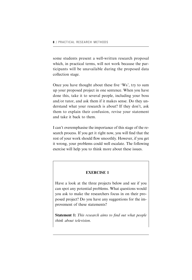some students present a well-written research proposal which, in practical terms, will not work because the participants will be unavailable during the proposed data collection stage.

Once you have thought about these five 'Ws', try to sum up your proposed project in one sentence. When you have done this, take it to several people, including your boss and/or tutor, and ask them if it makes sense. Do they understand what your research is about? If they don't, ask them to explain their confusion, revise your statement and take it back to them.

I can't overemphasise the importance of this stage of the research process. If you get it right now, you will find that the rest of your work should flow smoothly. However, if you get it wrong, your problems could well escalate. The following exercise will help you to think more about these issues.

### EXERCISE 1

Have a look at the three projects below and see if you can spot any potential problems. What questions would you ask to make the researchers focus in on their proposed project? Do you have any suggestions for the improvement of these statements?

Statement 1: This research aims to find out what people think about television.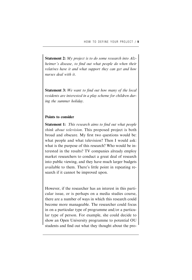Statement 2: My project is to do some research into Alzheimer's disease, to find out what people do when their relatives have it and what support they can get and how nurses deal with it.

Statement 3: We want to find out how many of the local residents are interested in a play scheme for children during the summer holiday.

#### Points to consider

Statement 1: This research aims to find out what people think about television. This proposed project is both broad and obscure. My first two questions would be: what people and what television? Then I would ask: what is the purpose of this research? Who would be interested in the results? TV companies already employ market researchers to conduct a great deal of research into public viewing, and they have much larger budgets available to them. There's little point in repeating research if it cannot be improved upon.

However, if the researcher has an interest in this particular issue, or is perhaps on a media studies course, there are a number of ways in which this research could become more manageable. The researcher could focus in on a particular type of programme and/or a particular type of person. For example, she could decide to show an Open University programme to potential OU students and find out what they thought about the pro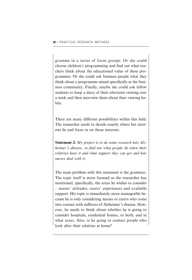gramme in a series of focus groups. Or she could choose children's programming and find out what teachers think about the educational value of these programmes. Or she could ask business people what they think about a programme aimed specifically at the business community. Finally, maybe she could ask fellow students to keep a diary of their television viewing over a week and then interview them about their viewing habits.

There are many different possibilities within this field. The researcher needs to decide exactly where her interests lie and focus in on those interests.

Statement 2: My project is to do some research into Alzheimer's disease, to find out what people do when their relatives have it and what support they can get and how nurses deal with it.

The main problem with this statement is the grammar. The topic itself is more focused as the researcher has mentioned, specifically, the areas he wishes to consider – nurses' attitudes, carers' experiences and available support. His topic is immediately more manageable because he is only considering nurses or carers who come into contact with sufferers of Alzheimer's disease. However, he needs to think about whether he is going to consider hospitals, residential homes, or both, and in what areas. Also, is he going to contact people who look after their relatives at home?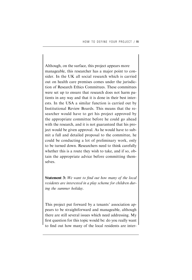Although, on the surface, this project appears more manageable, this researcher has a major point to consider. In the UK all social research which is carried out on health care premises comes under the jurisdiction of Research Ethics Committees. These committees were set up to ensure that research does not harm patients in any way and that it is done in their best interests. In the USA a similar function is carried out by Institutional Review Boards. This means that the researcher would have to get his project approved by the appropriate committee before he could go ahead with the research, and it is not guaranteed that his project would be given approval. As he would have to submit a full and detailed proposal to the committee, he could be conducting a lot of preliminary work, only to be turned down. Researchers need to think carefully whether this is a route they wish to take, and if so, obtain the appropriate advice before committing themselves.

**Statement 3:** We want to find out how many of the local residents are interested in a play scheme for children during the summer holiday.

This project put forward by a tenants' association appears to be straightforward and manageable, although there are still several issues which need addressing. My first question for this topic would be: do you really want to find out how many of the local residents are inter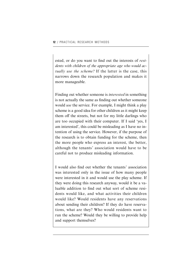ested, or do you want to find out the interests of residents with children of the appropriate age who would actually use the scheme? If the latter is the case, this narrows down the research population and makes it more manageable.

Finding out whether someone is interested in something is not actually the same as finding out whether someone would use the service. For example, I might think a play scheme is a good idea for other children as it might keep them off the streets, but not for my little darlings who are too occupied with their computer. If I said 'yes, I am interested', this could be misleading as I have no intention of using the service. However, if the purpose of the research is to obtain funding for the scheme, then the more people who express an interest, the better, although the tenants' association would have to be careful not to produce misleading information.

I would also find out whether the tenants' association was interested only in the issue of how many people were interested in it and would use the play scheme. If they were doing this research anyway, would it be a valuable addition to find out what sort of scheme residents would like, and what activities their children would like? Would residents have any reservations about sending their children? If they do have reservations, what are they? Who would residents want to run the scheme? Would they be willing to provide help and support themselves?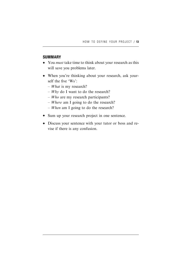#### **SUMMARY**

- $\rightarrow$  You *must* take time to think about your research as this will save you problems later.
- When you're thinking about your research, ask yourself the five 'Ws':
	- What is my research?
	- $-Wh<sub>V</sub>$  do I want to do the research?
	- $-$  *Who* are my research participants?
	- Where am I going to do the research?
	- When am I going to do the research?
- $\bullet$  Sum up your research project in one sentence.
- Discuss your sentence with your tutor or boss and revise if there is any confusion.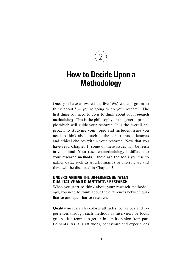

## How to Decide Upon a **Methodology**

Once you have answered the five 'Ws' you can go on to think about how you're going to do your research. The first thing you need to do is to think about your research methodology. This is the philosophy or the general principle which will guide your research. It is the overall approach to studying your topic and includes issues you need to think about such as the constraints, dilemmas and ethical choices within your research. Now that you have read Chapter 1, some of these issues will be fresh in your mind. Your research methodology is different to your research methods – these are the tools you use to gather data, such as questionnaires or interviews, and these will be discussed in Chapter 3.

## UNDERSTANDING THE DIFFERENCE BETWEEN QUALITATIVE AND QUANTITATIVE RESEARCH

When you start to think about your research methodology, you need to think about the differences between qualitative and quantitative research.

Qualitative research explores attitudes, behaviour and experiences through such methods as interviews or focus groups. It attempts to get an in-depth opinion from participants. As it is attitudes, behaviour and experiences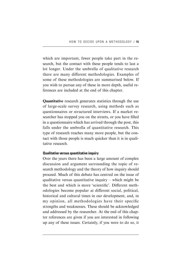which are important, fewer people take part in the research, but the contact with these people tends to last a lot longer. Under the umbrella of qualitative research there are many different methodologies. Examples of some of these methodologies are summarised below. If you wish to pursue any of these in more depth, useful references are included at the end of this chapter.

Quantitative research generates statistics through the use of large-scale survey research, using methods such as questionnaires or structured interviews. If a market researcher has stopped you on the streets, or you have filled in a questionnaire which has arrived through the post, this falls under the umbrella of quantitative research. This type of research reaches many more people, but the contact with those people is much quicker than it is in qualitative research.

#### Qualitative versus quantitative inquiry

Over the years there has been a large amount of complex discussion and argument surrounding the topic of research methodology and the theory of how inquiry should proceed. Much of this debate has centred on the issue of qualitative versus quantitative inquiry – which might be the best and which is more 'scientific'. Different methodologies become popular at different social, political, historical and cultural times in our development, and, in my opinion, all methodologies have their specific strengths and weaknesses. These should be acknowledged and addressed by the researcher. At the end of this chapter references are given if you are interested in following up any of these issues. Certainly, if you were to do so, it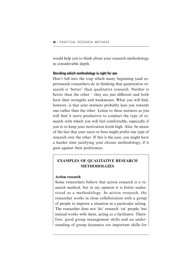would help you to think about your research methodology in considerable depth.

#### Deciding which methodology is right for you

Don't fall into the trap which many beginning (and experienced) researchers do in thinking that quantitative research is 'better' than qualitative research. Neither is better than the other – they are just different and both have their strengths and weaknesses. What you will find, however, is that your instincts probably lean you towards one rather than the other. Listen to these instincts as you will find it more productive to conduct the type of research with which you will feel comfortable, especially if you're to keep your motivation levels high. Also, be aware of the fact that your tutor or boss might prefer one type of research over the other. If this is the case, you might have a harder time justifying your chosen methodology, if it goes against their preferences.

## EXAMPLES OF QUALITATIVE RESEARCH **METHODOLGIES**

#### Action research

Some researchers believe that action research is a research method, but in my opinion it is better understood as a methodology. In action research, the researcher works in close collaboration with a group of people to improve a situation in a particular setting. The researcher does not 'do' research 'on' people, but instead works with them, acting as a facilitator. Therefore, good group management skills and an understanding of group dynamics are important skills for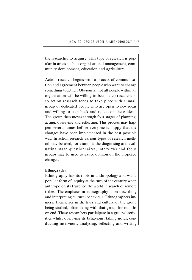the researcher to acquire. This type of research is popular in areas such as organisational management, community development, education and agriculture.

Action research begins with a process of communication and agreement between people who want to change something together. Obviously, not all people within an organisation will be willing to become co-researchers, so action research tends to take place with a small group of dedicated people who are open to new ideas and willing to step back and reflect on these ideas. The group then moves through four stages of planning, acting, observing and reflecting. This process may happen several times before everyone is happy that the changes have been implemented in the best possible way. In action research various types of research method may be used, for example: the diagnosing and evaluating stage questionnaires, interviews and focus groups may be used to gauge opinion on the proposed changes.

### Ethnography

Ethnography has its roots in anthropology and was a popular form of inquiry at the turn of the century when anthropologists travelled the world in search of remote tribes. The emphasis in ethnography is on describing and interpreting cultural behaviour. Ethnographers immerse themselves in the lives and culture of the group being studied, often living with that group for months on end. These researchers participate in a groups' activities whilst observing its behaviour, taking notes, conducting interviews, analysing, reflecting and writing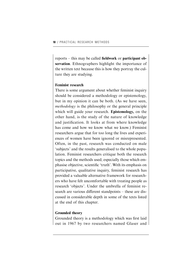reports – this may be called fieldwork or participant observation. Ethnographers highlight the importance of the written text because this is how they portray the culture they are studying.

#### Feminist research

There is some argument about whether feminist inquiry should be considered a methodology or epistemology, but in my opinion it can be both. (As we have seen, methodology is the philosophy or the general principle which will guide your research. Epistemology, on the other hand, is the study of the nature of knowledge and justification. It looks at from where knowledge has come and how we know what we know.) Feminist researchers argue that for too long the lives and experiences of women have been ignored or misrepresented. Often, in the past, research was conducted on male 'subjects' and the results generalised to the whole population. Feminist researchers critique both the research topics and the methods used; especially those which emphasise objective, scientific 'truth'. With its emphasis on participative, qualitative inquiry, feminist research has provided a valuable alternative framework for researchers who have felt uncomfortable with treating people as research 'objects'. Under the umbrella of feminist research are various different standpoints – these are discussed in considerable depth in some of the texts listed at the end of this chapter.

#### Grounded theory

Grounded theory is a methodology which was first laid out in 1967 by two researchers named Glaser and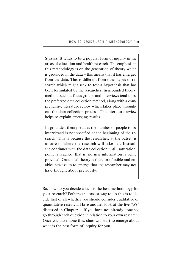Strauss. It tends to be a popular form of inquiry in the areas of education and health research. The emphasis in this methodology is on the generation of theory which is grounded in the data – this means that it has emerged from the data. This is different from other types of research which might seek to test a hypothesis that has been formulated by the researcher. In grounded theory, methods such as focus groups and interviews tend to be the preferred data collection method, along with a comprehensive literature review which takes place throughout the data collection process. This literature review helps to explain emerging results.

In grounded theory studies the number of people to be interviewed is not specified at the beginning of the research. This is because the researcher, at the outset, is unsure of where the research will take her. Instead, she continues with the data collection until 'saturation' point is reached, that is, no new information is being provided. Grounded theory is therefore flexible and enables new issues to emerge that the researcher may not have thought about previously.

So, how do you decide which is the best methodology for your research? Perhaps the easiest way to do this is to decide first of all whether you should consider qualitative or quantitative research. Have another look at the five 'Ws' discussed in Chapter 1. If you have not already done so, go through each question in relation to your own research. Once you have done this, clues will start to emerge about what is the best form of inquiry for you.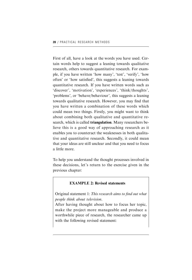First of all, have a look at the words you have used. Certain words help to suggest a leaning towards qualitative research, others towards quantitative research. For example, if you have written 'how many', 'test', 'verify', 'how often' or 'how satisfied', this suggests a leaning towards quantitative research. If you have written words such as 'discover', 'motivation', 'experiences', 'think/thoughts', 'problems', or 'behave/behaviour', this suggests a leaning towards qualitative research. However, you may find that you have written a combination of these words which could mean two things. Firstly, you might want to think about combining both qualitative and quantitative research, which is called triangulation. Many researchers believe this is a good way of approaching research as it enables you to counteract the weaknesses in both qualitative and quantitative research. Secondly, it could mean that your ideas are still unclear and that you need to focus a little more.

To help you understand the thought processes involved in these decisions, let's return to the exercise given in the previous chapter:

## EXAMPLE 2: Revised statements

Original statement 1: This research aims to find out what people think about television.

After having thought about how to focus her topic, make the project more manageable and produce a worthwhile piece of research, the researcher came up with the following revised statement: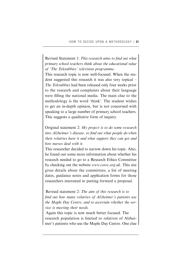Revised Statement 1: This research aims to find out what primary school teachers think about the educational value of 'The Teletubbies' television programme.

This research topic is now well-focused. When the student suggested this research it was also very topical – The Teletubbies had been released only four weeks prior to the research and complaints about their language were filling the national media. The main clue to the methodology is the word 'think'. The student wishes to get an in-depth opinion, but is not concerned with speaking to a large number of primary school teachers. This suggests a qualitative form of inquiry.

Original statement 2: My project is to do some research into Alzheimer's disease, to find out what people do when their relatives have it and what support they can get and how nurses deal with it.

This researcher decided to narrow down his topic. Also, he found out some more information about whether his research needed to go to a Research Ethics Committee by checking out the website www.corec.org.uk. This site gives details about the committees, a list of meeting dates, guidance notes and application forms for those researchers interested in putting forward a proposal.

Revised statement 2: The aim of this research is to find out how many relatives of Alzheimer's patients use the Maple Day Centre, and to ascertain whether the service is meeting their needs.

Again this topic is now much better focused. The research population is limited to relatives of Alzheimer's patients who use the Maple Day Centre. One clue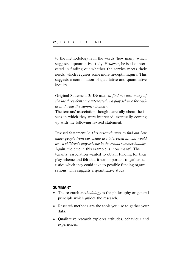to the methodology is in the words 'how many' which suggests a quantitative study. However, he is also interested in finding out whether the service meets their needs, which requires some more in-depth inquiry. This suggests a combination of qualitative and quantitative inquiry.

Original Statement 3: We want to find out how many of the local residents are interested in a play scheme for children during the summer holiday.

The tenants' association thought carefully about the issues in which they were interested, eventually coming up with the following revised statement:

Revised Statement 3: This research aims to find out how many people from our estate are interested in, and would use, a children's play scheme in the school summer holiday. Again, the clue in this example is 'how many'. The tenants' association wanted to obtain funding for their play scheme and felt that it was important to gather statistics which they could take to possible funding organisations. This suggests a quantitative study.

### **SUMMARY**

- $\bullet$  The research *methodology* is the philosophy or general principle which guides the research.
- $\triangle$  Research methods are the tools you use to gather your data.
- Qualitative research explores attitudes, behaviour and experiences.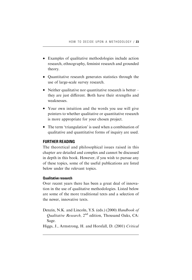- $\bullet$  Examples of qualitative methodologies include action research, ethnography, feminist research and grounded theory.
- $\bullet$  Quantitative research generates statistics through the use of large-scale survey research.
- $\bullet$  Neither qualitative nor quantitative research is better they are just different. Both have their strengths and weaknesses.
- $\rightarrow$  Your own intuition and the words you use will give pointers to whether qualitative or quantitative research is more appropriate for your chosen project.
- $\bullet$  The term 'triangulation' is used when a combination of qualitative and quantitative forms of inquiry are used.

## FURTHER READING

The theoretical and philosophical issues raised in this chapter are detailed and complex and cannot be discussed in depth in this book. However, if you wish to pursue any of these topics, some of the useful publications are listed below under the relevant topics.

### Qualitative research

Over recent years there has been a great deal of innovation in the use of qualitative methodologies. Listed below are some of the more traditional texts and a selection of the newer, innovative texts.

Denzin, N.K. and Lincoln, Y.S. (eds.) (2000) Handbook of Qualitative Research,  $2^{nd}$  edition, Thousand Oaks, CA: Sage.

Higgs, J., Armstrong, H. and Horsfall, D. (2001) Critical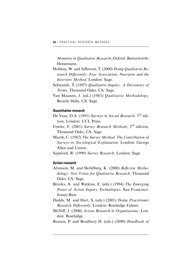Moments in Qualitative Research, Oxford: Butterworth-Heinemann.

- Hollway, W. and Jefferson, T. (2000) Doing Qualitative Research Differently: Free Association, Narrative and the Interview Method, London: Sage.
- Schwandt, T. (1997) Qualitative Inquiry: A Dictionary of Terms, Thousand Oaks, CA: Sage.
- Van Maanen, J. (ed.) (1983) Qualitative Methodology, Beverly Hells, CA: Sage.

#### Quantitative research

- De Vaus, D.A. (1991) Surveys in Social Research, 3<sup>rd</sup> edition, London: UCL Press.
- Fowler, F. (2001) Survey Research Methods, 3rd edition, Thousand Oaks, CA: Sage.
- Marsh, C. (1982) The Survey Method: The Contribution of Surveys to Sociological Explanation, London: George Allen and Unwin.

Sapsford, R. (1999) Survey Research, London: Sage.

#### Action research

- Alvesson, M. and Sköldberg, K. (2000) Reflexive Methodology: New Vistas for Qualitative Research, Thousand Oaks, CA: Sage.
- Brooks, A. and Watkins, E. (eds.) (1994) The Emerging Power of Action Inquiry Technologies, San Francisco: Jossey-Bass.
- Dadds, M. and Hart, S. (eds.) (2001) Doing Practitioner Research Differently, London: Routledge Falmer.
- McNiff, J. (2000) Action Research in Organisations, London: Routledge.
- Reason, P. and Bradbury H. (eds.) (2000) Handbook of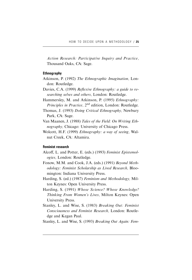Action Research: Participative Inquiry and Practice, Thousand Oaks, CA: Sage.

#### **Ethnography**

- Atkinson, P. (1992) The Ethnographic Imagination, London: Routledge.
- Davies, C.A. (1999) Reflexive Ethnography: a guide to researching selves and others, London: Routledge.
- Hammersley, M. and Atkinson, P. (1995) Ethnography: Principles in Practice,  $2<sup>nd</sup>$  edition, London: Routledge.
- Thomas, J. (1993) Doing Critical Ethnography, Newbury Park, CA: Sage.
- Van Maanen, J. (1988) Tales of the Field: On Writing Ethnography, Chicago: University of Chicago Press.
- Wolcott, H.F. (1999) Ethnography: a way of seeing, Walnut Creek, CA: Altamira.

#### Feminist research

- Alcoff, L. and Potter, E. (eds.) (1993) Feminist Epistemologies, London: Routledge.
- Fonow, M.M. and Cook, J.A. (eds.) (1991) Beyond Methodology: Feminist Scholarship as Lived Research, Bloomington: Indiana University Press.
- Harding, S. (ed.) (1987) Feminism and Methodology, Milton Keynes: Open University Press.
- Harding, S. (1991) Whose Science? Whose Knowledge? Thinking From Women's Lives, Milton Keynes: Open University Press.
- Stanley, L. and Wise, S. (1983) Breaking Out: Feminist Consciousness and Feminist Research, London: Routledge and Kegan Paul.

Stanley, L. and Wise, S. (1993) *Breaking Out Again: Fem-*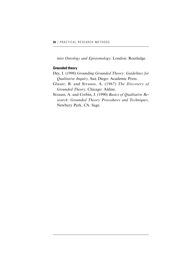inist Ontology and Epistemology, London: Routledge.

## Grounded theory

- Dey, I. (1998) Grounding Grounded Theory: Guidelines for Qualitative Inquiry, San Diego: Academic Press.
- Glaser, B. and Strauss, A. (1967) The Discovery of Grounded Theory, Chicago: Aldine.
- Strauss, A. and Corbin, J. (1990) Basics of Qualitative Research: Grounded Theory Procedures and Techniques, Newbury Park, CA: Sage.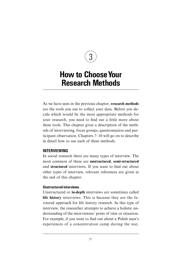3

# How to ChooseYour Research Methods

As we have seen in the previous chapter, research methods are the tools you use to collect your data. Before you decide which would be the most appropriate methods for your research, you need to find out a little more about these tools. This chapter gives a description of the methods of interviewing, focus groups, questionnaires and participant observation. Chapters 7–10 will go on to describe in detail how to use each of these methods.

# INTERVIEWING

In social research there are many types of interview. The most common of these are unstructured, semi-structured and structured interviews. If you want to find out about other types of interview, relevant references are given at the end of this chapter.

# Unstructured interviews

Unstructured or in-depth interviews are sometimes called life history interviews. This is because they are the favoured approach for life history research. In this type of interview, the researcher attempts to achieve a holistic understanding of the interviewees' point of view or situation. For example, if you want to find out about a Polish man's experiences of a concentration camp during the war,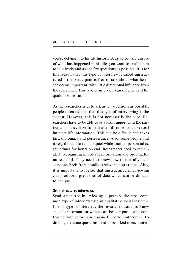you're delving into his life history. Because you are unsure of what has happened in his life, you want to enable him to talk freely and ask as few questions as possible. It is for this reason that this type of interview is called unstructured – the participant is free to talk about what he or she deems important, with little directional influence from the researcher. This type of interview can only be used for qualitative research.

As the researcher tries to ask as few questions as possible, people often assume that this type of interviewing is the easiest. However, this is not necessarily the case. Researchers have to be able to establish rapport with the participant – they have to be trusted if someone is to reveal intimate life information. This can be difficult and takes tact, diplomacy and perseverance. Also, some people find it very difficult to remain quiet while another person talks, sometimes for hours on end. Researchers need to remain alert, recognising important information and probing for more detail. They need to know how to tactfully steer someone back from totally irrelevant digressions. Also, it is important to realise that unstructured interviewing can produce a great deal of data which can be difficult to analyse.

#### Semi-structured interviews

Semi-structured interviewing is perhaps the most common type of interview used in qualitative social research. In this type of interview, the researcher wants to know specific information which can be compared and contrasted with information gained in other interviews. To do this, the same questions need to be asked in each inter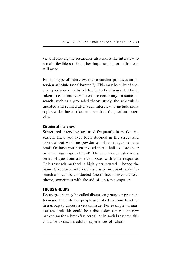view. However, the researcher also wants the interview to remain flexible so that other important information can still arise.

For this type of interview, the researcher produces an interview schedule (see Chapter 7). This may be a list of specific questions or a list of topics to be discussed. This is taken to each interview to ensure continuity. In some research, such as a grounded theory study, the schedule is updated and revised after each interview to include more topics which have arisen as a result of the previous interview.

#### Structured interviews

Structured interviews are used frequently in market research. Have you ever been stopped in the street and asked about washing powder or which magazines you read? Or have you been invited into a hall to taste cider or smell washing-up liquid? The interviewer asks you a series of questions and ticks boxes with your response. This research method is highly structured – hence the name. Structured interviews are used in quantitative research and can be conducted face-to-face or over the telephone, sometimes with the aid of lap-top computers.

# FOCUS GROUPS

Focus groups may be called discussion groups or group interviews. A number of people are asked to come together in a group to discuss a certain issue. For example, in market research this could be a discussion centred on new packaging for a breakfast cereal, or in social research this could be to discuss adults' experiences of school.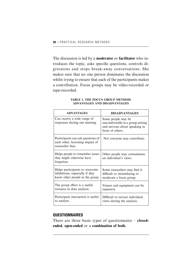The discussion is led by a moderator or facilitator who introduces the topic, asks specific questions, controls dig ressions and stops break-away conversations. She makes sure that no one person dominates the discussion whilst trying to ensure that each of the participants makes a contribution. Focus groups may be video-recorded or tape-recorded.

| <b>ADVANTAGES</b>                                                                                    | <b>DISADVANTAGES</b>                                                                                        |  |
|------------------------------------------------------------------------------------------------------|-------------------------------------------------------------------------------------------------------------|--|
| Can receive a wide range of<br>responses during one meeting.                                         | Some people may be<br>uncomfortable in a group setting<br>and nervous about speaking in<br>front of others. |  |
| Participants can ask questions of<br>each other, lessoning impact of<br>researcher bias.             | Not everyone may contribute.                                                                                |  |
| Helps people to remember issues<br>they might otherwise have<br>forgotten.                           | Other people may contaminate<br>an individual's views.                                                      |  |
| Helps participants to overcome<br>inhibitions, especially if they<br>know other people in the group. | Some researchers may find it<br>difficult or intimidating to<br>moderate a focus group.                     |  |
| The group effect is a useful.<br>resource in data analysis.                                          | Venues and equipment can be<br>expensive.                                                                   |  |
| Participant interaction is useful.<br>to analyse.                                                    | Difficult to extract individual<br>views during the analysis.                                               |  |

#### TABLE 1. THE FOCUS GROUP METHOD: ADVANTAGES AND DISADVANTAGES

# **QUESTIONNAIRES**

There are three basic types of questionnaire – closedended, open-ended or a combination of both.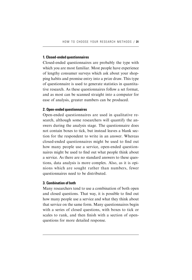## 1. Closed-ended questionnaires

Closed-ended questionnaires are probably the type with which you are most familiar. Most people have experience of lengthy consumer surveys which ask about your shopping habits and promise entry into a prize draw. This type of questionnaire is used to generate statistics in quantitative research. As these questionnaires follow a set format, and as most can be scanned straight into a computer for ease of analysis, greater numbers can be produced.

## 2. Open-ended questionnaires

Open-ended questionnaires are used in qualitative research, although some researchers will quantify the answers during the analysis stage. The questionnaire does not contain boxes to tick, but instead leaves a blank section for the respondent to write in an answer. Whereas closed-ended questionnaires might be used to find out how many people use a service, open-ended questionnaires might be used to find out what people think about a service. As there are no standard answers to these questions, data analysis is more complex. Also, as it is opinions which are sought rather than numbers, fewer questionnaires need to be distributed.

## 3. Combination of both

Many researchers tend to use a combination of both open and closed questions. That way, it is possible to find out how many people use a service and what they think about that service on the same form. Many questionnaires begin with a series of closed questions, with boxes to tick or scales to rank, and then finish with a section of openquestions for more detailed response.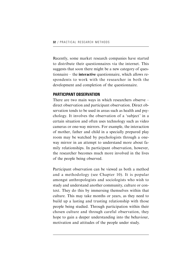Recently, some market research companies have started to distribute their questionnaires via the internet. This suggests that soon there might be a new category of questionnaire – the interactive questionnaire, which allows respondents to work with the researcher in both the development and completion of the questionnaire.

# PARTICIPANT OBSERVATION

There are two main ways in which researchers observe – direct observation and participant observation. Direct observation tends to be used in areas such as health and psychology. It involves the observation of a 'subject' in a certain situation and often uses technology such as video cameras or one-way mirrors. For example, the interaction of mother, father and child in a specially prepared play room may be watched by psychologists through a oneway mirror in an attempt to understand more about family relationships. In participant observation, however, the researcher becomes much more involved in the lives of the people being observed.

Participant observation can be viewed as both a method and a methodology (see Chapter 10). It is popular amongst anthropologists and sociologists who wish to study and understand another community, culture or context. They do this by immersing themselves within that culture. This may take months or years, as they need to build up a lasting and trusting relationship with those people being studied. Through participation within their chosen culture and through careful observation, they hope to gain a deeper understanding into the behaviour, motivation and attitudes of the people under study.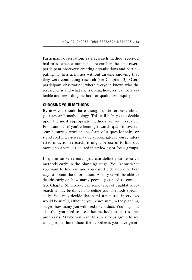Participant observation, as a research method, received bad press when a number of researchers became covert participant observers; entering organisations and participating in their activities without anyone knowing that they were conducting research (see Chapter 13). Overt participant observation, where everyone knows who the researcher is and what she is doing, however, can be a valuable and rewarding method for qualitative inquiry.

# CHOOSING YOUR METHODS

By now you should have thought quite seriously about your research methodology. This will help you to decide upon the most appropriate methods for your research. For example, if you're leaning towards quantitative research, survey work in the form of a questionnaire or structured interviews may be appropriate. If you're interested in action research, it might be useful to find out more about semi-structured interviewing or focus groups.

In quantitative research you can define your research methods early in the planning stage. You know what you want to find out and you can decide upon the best way to obtain the information. Also, you will be able to decide early on how many people you need to contact (see Chapter 5). However, in some types of qualitative research it may be difficult to define your methods specifically. You may decide that semi-structured interviews would be useful, although you're not sure, in the planning stages, how many you will need to conduct. You may find also that you need to use other methods as the research progresses. Maybe you want to run a focus group to see what people think about the hypotheses you have gener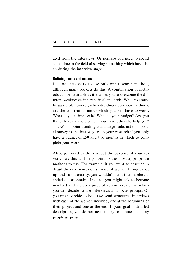ated from the interviews. Or perhaps you need to spend some time in the field observing something which has arisen during the interview stage.

#### Defining needs and means

It is not necessary to use only one research method, although many projects do this. A combination of methods can be desirable as it enables you to overcome the different weaknesses inherent in all methods. What you must be aware of, however, when deciding upon your methods, are the constraints under which you will have to work. What is your time scale? What is your budget? Are you the only researcher, or will you have others to help you? There's no point deciding that a large scale, national postal survey is the best way to do your research if you only have a budget of £50 and two months in which to complete your work.

Also, you need to think about the purpose of your research as this will help point to the most appropriate methods to use. For example, if you want to describe in detail the experiences of a group of women trying to set up and run a charity, you wouldn't send them a closedended questionnaire. Instead, you might ask to become involved and set up a piece of action research in which you can decide to use interviews and focus groups. Or you might decide to hold two semi-structured interviews with each of the women involved, one at the beginning of their project and one at the end. If your goal is detailed description, you do not need to try to contact as many people as possible.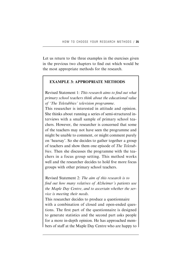Let us return to the three examples in the exercises given in the previous two chapters to find out which would be the most appropriate methods for the research.

### EXAMPLE 3: APPROPRIATE METHODS

Revised Statement 1: This research aims to find out what primary school teachers think about the educational value of 'The Teletubbies' television programme.

This researcher is interested in attitude and opinion. She thinks about running a series of semi-structured interviews with a small sample of primary school teachers. However, the researcher is concerned that some of the teachers may not have seen the programme and might be unable to comment, or might comment purely on 'hearsay'. So she decides to gather together a group of teachers and show them one episode of The Teletubbies. Then she discusses the programme with the teachers in a focus group setting. This method works well and the researcher decides to hold five more focus groups with other primary school teachers.

Revised Statement 2: The aim of this research is to find out how many relatives of Alzheimer's patients use the Maple Day Centre, and to ascertain whether the service is meeting their needs.

This researcher decides to produce a questionnaire with a combination of closed and open-ended questions. The first part of the questionnaire is designed to generate statistics and the second part asks people for a more in-depth opinion. He has approached members of staff at the Maple Day Centre who are happy to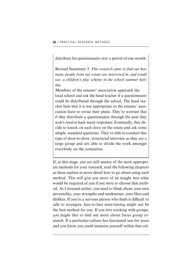distribute his questionnaire over a period of one month.

Revised Statement 3: This research aims to find out how many people from our estate are interested in, and would use, a children's play scheme in the school summer holiday.

.Members of the tenants' association approach the local school and ask the head teacher if a questionnaire could be distributed through the school. The head teacher feels that it is not appropriate so the tenants' association have to revise their plans. They're worried that if they distribute a questionnaire through the post they won't receive back many responses. Eventually, they decide to knock on each door on the estate and ask some simple, standard questions. They're able to conduct this type of door-to-door, structured interview as they are a large group and are able to divide the work amongst everybody on the committee.

If, at this stage, you are still unsure of the most appropriate methods for your research, read the following chapters as these explain in more detail how to go about using each method. This will give you more of an insight into what would be required of you if you were to choose that method. As I stressed earlier, you need to think about your own personality, your strengths and weaknesses, your likes and dislikes. If you're a nervous person who finds it difficult to talk to strangers, face-to-face interviewing might not be the best method for you. If you love working with groups, you might like to find out more about focus group research. If a particular culture has fascinated you for years and you know you could immerse yourself within that cul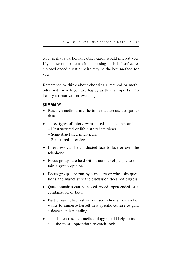ture, perhaps participant observation would interest you. If you love number crunching or using statistical software, a closed-ended questionnaire may be the best method for you.

Remember to think about choosing a method or method(s) with which you are happy as this is important to keep your motivation levels high.

# **SUMMARY**

- $\triangle$  Research methods are the tools that are used to gather data.
- $\bullet$  Three types of interview are used in social research:
	- Unstructured or life history interviews.
	- Semi-structured interviews.
	- Structured interviews.
- Interviews can be conducted face-to-face or over the telephone.
- $\bullet$  Focus groups are held with a number of people to obtain a group opinion.
- $\bullet$  Focus groups are run by a moderator who asks questions and makes sure the discussion does not digress.
- Questionnaires can be closed-ended, open-ended or a combination of both.
- $\bullet$  Participant observation is used when a researcher wants to immerse herself in a specific culture to gain a deeper understanding.
- $\bullet$  The chosen research methodology should help to indicate the most appropriate research tools.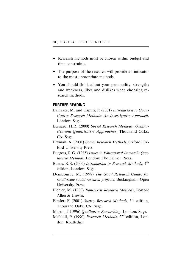- $\triangle$  Research methods must be chosen within budget and time constraints.
- $\bullet$  The purpose of the research will provide an indicator to the most appropriate methods.
- $\rightarrow$  You should think about your personality, strengths and weakness, likes and dislikes when choosing research methods.

#### FURTHER READING

- Balnaves, M. and Caputi, P. (2001) Introduction to Quantitative Research Methods: An Investigative Approach, London: Sage.
- Bernard, H.R. (2000) Social Research Methods: Qualitative and Quantitative Approaches, Thousand Oaks, CA: Sage.
- Bryman, A. (2001) Social Research Methods, Oxford: Oxford University Press.
- Burgess, R.G. (1985) Issues in Educational Research: Qualitative Methods, London: The Falmer Press.
- Burns, R.B. (2000) Introduction to Research Methods, 4<sup>th</sup> edition, London: Sage.
- Denscombe, M. (1998) The Good Research Guide: for small-scale social research projects, Buckingham: Open University Press.
- Eichler, M. (1988) Non-sexist Research Methods, Boston: Allen & Unwin.
- Fowler, F. (2001) Survey Research Methods, 3rd edition, Thousand Oaks, CA: Sage.
- Mason, J (1996) Qualitative Researching, London: Sage.
- McNeill, P. (1990) Research Methods,  $2<sup>nd</sup>$  edition, London: Routledge.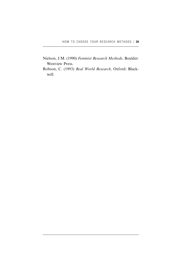- Nielson, J.M. (1990) Feminist Research Methods, Boulder: Westview Press.
- Robson, C. (1993) Real World Research, Oxford: Blackwell.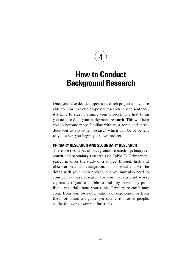

# How to Conduct Background Research

Once you have decided upon a research project and you're able to sum up your proposed research in one sentence, it's time to start planning your project. The first thing you need to do is your background research. This will help you to become more familiar with your topic and introduce you to any other research which will be of benefit to you when you begin your own project.

# PRIMARY RESEARCH AND SECONDARY RESEARCH

There are two types of background research – primary research and secondary research (see Table 2). Primary research involves the study of a subject through firsthand observation and investigation. This is what you will be doing with your main project, but you may also need to conduct primary research for your background work, especially if you're unable to find any previously published material about your topic. Primary research may come from your own observations or experience, or from the information you gather personally from other people, as the following example illustrates.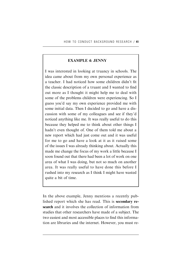## EXAMPLE 4: JENNY

I was interested in looking at truancy in schools. The idea came about from my own personal experience as a teacher. I had noticed how some children didn't fit the classic description of a truant and I wanted to find out more as I thought it might help me to deal with some of the problems children were experiencing. So I guess you'd say my own experience provided me with some initial data. Then I decided to go and have a discussion with some of my colleagues and see if they'd noticed anything like me. It was really useful to do this because they helped me to think about other things I hadn't even thought of. One of them told me about a new report which had just come out and it was useful for me to go and have a look at it as it raised some of the issues I was already thinking about. Actually this made me change the focus of my work a little because I soon found out that there had been a lot of work on one area of what I was doing, but not so much on another area. It was really useful to have done this before I rushed into my research as I think I might have wasted quite a bit of time.

In the above example, Jenny mentions a recently published report which she has read. This is secondary research and it involves the collection of information from studies that other researchers have made of a subject. The two easiest and most accessible places to find this information are libraries and the internet. However, you must re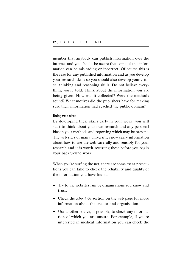member that anybody can publish information over the internet and you should be aware that some of this information can be misleading or incorrect. Of course this is the case for any published information and as you develop your research skills so you should also develop your critical thinking and reasoning skills. Do not believe everything you're told. Think about the information you are being given. How was it collected? Were the methods sound? What motives did the publishers have for making sure their information had reached the public domain?

## Using web sites

By developing these skills early in your work, you will start to think about your own research and any personal bias in your methods and reporting which may be present. The web sites of many universities now carry information about how to use the web carefully and sensibly for your research and it is worth accessing these before you begin your background work.

When you're surfing the net, there are some extra precautions you can take to check the reliability and quality of the information you have found:

- $\bullet$  Try to use websites run by organisations you know and trust.
- $\bullet$  Check the *About Us* section on the web page for more information about the creator and organisation.
- $\bullet$  Use another source, if possible, to check any information of which you are unsure. For example, if you're interested in medical information you can check the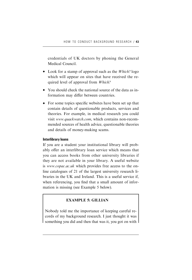credentials of UK doctors by phoning the General Medical Council.

- $\bullet$  Look for a stamp of approval such as the Which? logo which will appear on sites that have received the required level of approval from Which?
- $\rightarrow$  You should check the national source of the data as information may differ between countries.
- $\bullet$  For some topics specific websites have been set up that contain details of questionable products, services and theories. For example, in medical research you could visit www.quackwatch.com, which contains non-recommended sources of health advice, questionable theories and details of money-making scams.

#### Interlibrary loans

If you are a student your institutional library will probably offer an interlibrary loan service which means that you can access books from other university libraries if they are not available in your library. A useful website is www.copac.ac.uk which provides free access to the online catalogues of 21 of the largest university research libraries in the UK and Ireland. This is a useful service if, when referencing, you find that a small amount of information is missing (see Example 5 below).

## EXAMPLE 5: GILLIAN

Nobody told me the importance of keeping careful records of my background research. I just thought it was something you did and then that was it, you got on with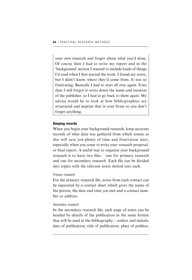your own research and forgot about what you'd done. Of course then I had to write my report and in the 'background' section I wanted to include loads of things I'd read when I first started the work. I found my notes, but I didn't know where they'd come from. It was so frustrating. Basically I had to start all over again. Even then I still forgot to write down the name and location of the publisher, so I had to go back to them again. My advice would be to look at how bibliographies are structured and imprint that in your brain so you don't forget anything.

#### Keeping records

When you begin your background research, keep accurate records of what data was gathered from which source as this will save you plenty of time and frustration later, especially when you come to write your research proposal, or final report. A useful way to organise your background research is to have two files – one for primary research and one for secondary research. Each file can be divided into topics with the relevant notes slotted into each.

#### Primary research

For the primary research file, notes from each contact can be separated by a contact sheet which gives the name of the person, the date and time you met and a contact number or address.

#### Secondary research

In the secondary research file, each page of notes can be headed by details of the publication in the same format that will be used in the bibliography – author and initials; date of publication; title of publication; place of publica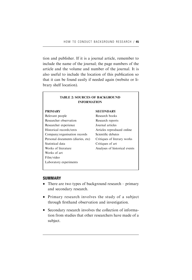tion and publisher. If it is a journal article, remember to include the name of the journal; the page numbers of the article and the volume and number of the journal. It is also useful to include the location of this publication so that it can be found easily if needed again (website or library shelf location).

| <b>TABLE 2: SOURCES OF BACKGROUND</b> |                               |  |  |
|---------------------------------------|-------------------------------|--|--|
| <b>INFORMATION</b>                    |                               |  |  |
| <b>PRIMARY</b>                        | <b>SECONDARY</b>              |  |  |
| Relevant people                       | Research books                |  |  |
| Researcher observation                | Research reports              |  |  |
| Researcher experience                 | Journal articles              |  |  |
| Historical records/texts              | Articles reproduced online    |  |  |
| Company/organisation records          | Scientific debates            |  |  |
| Personal documents (diaries, etc)     | Critiques of literary works   |  |  |
| Statistical data                      | Critiques of art              |  |  |
| Works of literature                   | Analyses of historical events |  |  |
| Works of art                          |                               |  |  |
| Film/video                            |                               |  |  |
| Laboratory experiments                |                               |  |  |

## SUMMARY

- $\bullet$  There are two types of background research primary and secondary research.
- $\bullet$  Primary research involves the study of a subject through firsthand observation and investigation.
- $\triangleleft$  Secondary research involves the collection of information from studies that other researchers have made of a subject.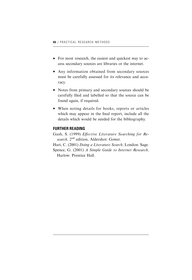- $\bullet$  For most research, the easiest and quickest way to access secondary sources are libraries or the internet.
- $\triangle$  Any information obtained from secondary sources must be carefully assessed for its relevance and accuracy.
- Notes from primary and secondary sources should be carefully filed and labelled so that the source can be found again, if required.
- $\bullet$  When noting details for books, reports or articles which may appear in the final report, include all the details which would be needed for the bibliography.

# FURTHER READING

Gash, S. (1999) Effective Literature Searching for Research, 2<sup>nd</sup> edition, Aldershot: Gower.

Hart, C. (2001) Doing a Literature Search, London: Sage.

Spence, G. (2001) A Simple Guide to Internet Research, Harlow: Prentice Hall.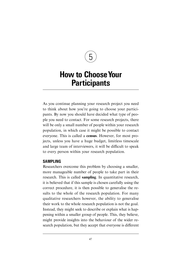5

# **How to Choose Your Participants**

As you continue planning your research project you need to think about how you're going to choose your participants. By now you should have decided what type of people you need to contact. For some research projects, there will be only a small number of people within your research population, in which case it might be possible to contact everyone. This is called a census. However, for most projects, unless you have a huge budget, limitless timescale and large team of interviewers, it will be difficult to speak to every person within your research population.

# SAMPLING

Researchers overcome this problem by choosing a smaller, more manageable number of people to take part in their research. This is called sampling. In quantitative research, it is believed that if this sample is chosen carefully using the correct procedure, it is then possible to generalise the results to the whole of the research population. For many qualitative researchers however, the ability to generalise their work to the whole research population is not the goal. Instead, they might seek to describe or explain what is happening within a smaller group of people. This, they believe, might provide insights into the behaviour of the wider research population, but they accept that everyone is different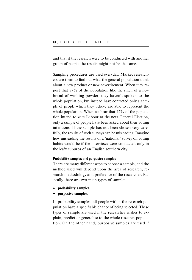and that if the research were to be conducted with another group of people the results might not be the same.

Sampling procedures are used everyday. Market researchers use them to find out what the general population think about a new product or new advertisement. When they report that 87% of the population like the smell of a new brand of washing powder, they haven't spoken to the whole population, but instead have contacted only a sample of people which they believe are able to represent the whole population. When we hear that 42% of the population intend to vote Labour at the next General Election, only a sample of people have been asked about their voting intentions. If the sample has not been chosen very carefully, the results of such surveys can be misleading. Imagine how misleading the results of a 'national' survey on voting habits would be if the interviews were conducted only in the leafy suburbs of an English southern city.

### Probability samples and purposive samples

There are many different ways to choose a sample, and the method used will depend upon the area of research, research methodology and preference of the researcher. Basically there are two main types of sample:

- probability samples
- $\rightarrow$  purposive samples.

In probability samples, all people within the research population have a specifiable chance of being selected. These types of sample are used if the researcher wishes to explain, predict or generalise to the whole research population. On the other hand, purposive samples are used if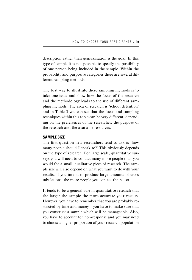description rather than generalisation is the goal. In this type of sample it is not possible to specify the possibility of one person being included in the sample. Within the probability and purposive categories there are several different sampling methods.

The best way to illustrate these sampling methods is to take one issue and show how the focus of the research and the methodology leads to the use of different sampling methods. The area of research is 'school detention' and in Table 3 you can see that the focus and sampling techniques within this topic can be very different, depending on the preferences of the researcher, the purpose of the research and the available resources.

# SAMPLE SIZE

The first question new researchers tend to ask is 'how many people should I speak to?' This obviously depends on the type of research. For large scale, quantitative surveys you will need to contact many more people than you would for a small, qualitative piece of research. The sample size will also depend on what you want to do with your results. If you intend to produce large amounts of cross tabulations, the more people you contact the better.

It tends to be a general rule in quantitative research that the larger the sample the more accurate your results. However, you have to remember that you are probably restricted by time and money – you have to make sure that you construct a sample which will be manageable. Also, you have to account for non-response and you may need to choose a higher proportion of your research population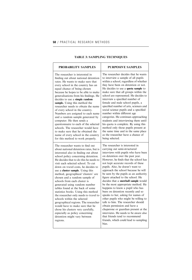#### TABLE 3: SAMPLING TECHNIQUES

 $\overline{\phantom{a}}$ 

| <b>PROBABILITY SAMPLES</b>                                                                                                                                                                                                                                                                                                                                                                                                                                                                                                                                                                                                                                                                                                                                                                                        | <b>PURPOSIVE SAMPLES</b>                                                                                                                                                                                                                                                                                                                                                                                                                                                                                                                                                                                                                                                                                                                                                                                                                                           |
|-------------------------------------------------------------------------------------------------------------------------------------------------------------------------------------------------------------------------------------------------------------------------------------------------------------------------------------------------------------------------------------------------------------------------------------------------------------------------------------------------------------------------------------------------------------------------------------------------------------------------------------------------------------------------------------------------------------------------------------------------------------------------------------------------------------------|--------------------------------------------------------------------------------------------------------------------------------------------------------------------------------------------------------------------------------------------------------------------------------------------------------------------------------------------------------------------------------------------------------------------------------------------------------------------------------------------------------------------------------------------------------------------------------------------------------------------------------------------------------------------------------------------------------------------------------------------------------------------------------------------------------------------------------------------------------------------|
| The researcher is interested in<br>finding out about national detention<br>rates. He wants to make sure that<br>every school in the country has an<br>equal chance of being chosen<br>because he hopes to be able to make<br>generalisations from his findings. He<br>decides to use a simple random<br>sample. Using this method the<br>researcher needs to obtain the name<br>of every school in the country.<br>Numbers are assigned to each name<br>and a random sample generated by<br>computer. He then sends a<br>questionnaire to each of the selected<br>schools. The researcher would have<br>to make sure that he obtained the<br>name of every school in the country<br>for this method to work properly.                                                                                             | The researcher decides that he wants<br>to interview a sample of all pupils<br>within a school, regardless of whether<br>they have been on detention or not.<br>He decides to use a quota sample to<br>make sure that all groups within the<br>school are represented. He decides to<br>interview a specified number of<br>female and male school pupils, a<br>specified number of arts, sciences and<br>social science pupils and a specified<br>number within different age<br>categories. He continues approaching<br>students and interviewing them until<br>his quota is complete. By using this<br>method only those pupils present at<br>the same time and in the same place<br>as the researcher have a chance of<br>being selected.                                                                                                                       |
| The researcher wants to find out<br>about national detention rates, but is<br>interested also in finding out about<br>school policy concerning detention.<br>He decides that to do this he needs to<br>visit each selected school. To cut<br>down on travel costs, he decides to<br>use a cluster sample. Using this<br>method, geographical 'clusters' are<br>chosen and a random sample of<br>schools from each cluster is<br>generated using random number<br>tables found at the back of some<br>statistics books. Using this method<br>the researcher only needs to travel to<br>schools within the selected<br>geographical regions. The researcher<br>would have to make sure that he<br>chose his clusters very carefully,<br>especially as policy concerning<br>detention might vary between<br>regions. | The researcher is interested in<br>carrying out semi-structured<br>interviews with pupils who have been<br>on detention over the past year.<br>However, he finds that the school has<br>not kept accurate records of these<br>pupils. Also, he doesn't want to<br>approach the school because he will<br>be seen by the pupils as an authority<br>figure attached to the school. He<br>decides that a snowball sample would<br>be the most appropriate method. He<br>happens to know a pupil who has<br>been on detention recently and so<br>speaks to her, asking for names of<br>other pupils who might be willing to<br>talk to him. The researcher should<br>obtain permission and have a<br>chaperone or guardian present at the<br>interviews. He needs to be aware also<br>that friends tend to recommend<br>friends, which could lead to sampling<br>bias. |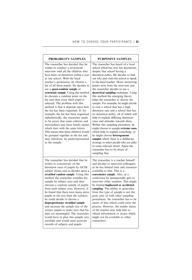| <b>PROBABILITY SAMPLES</b>                                                                                                                                                                                                                                                                                                                                                                                                                                                                                                                                                                                                                                                                                                                                                                                                                                                         | <b>PURPOSIVE SAMPLES</b>                                                                                                                                                                                                                                                                                                                                                                                                                                                                                                                                                                                                                                                                                                                                                                                                                                                                                                                                                                                        |  |
|------------------------------------------------------------------------------------------------------------------------------------------------------------------------------------------------------------------------------------------------------------------------------------------------------------------------------------------------------------------------------------------------------------------------------------------------------------------------------------------------------------------------------------------------------------------------------------------------------------------------------------------------------------------------------------------------------------------------------------------------------------------------------------------------------------------------------------------------------------------------------------|-----------------------------------------------------------------------------------------------------------------------------------------------------------------------------------------------------------------------------------------------------------------------------------------------------------------------------------------------------------------------------------------------------------------------------------------------------------------------------------------------------------------------------------------------------------------------------------------------------------------------------------------------------------------------------------------------------------------------------------------------------------------------------------------------------------------------------------------------------------------------------------------------------------------------------------------------------------------------------------------------------------------|--|
| The researcher has decided that he<br>wishes to conduct a structured<br>interview with all the children who<br>have been on detention within a year<br>at one school. With the head<br>teacher's permission, he obtains a<br>list of all these pupils. He decides to<br>use a quasi-random sample or<br>systematic sample. Using this method<br>he chooses a random point on the<br>list and then every third pupil is<br>selected. The problem with this<br>method is that it depends upon how<br>the list has been organised. If, for<br>example, the list has been organised<br>alphabetically, the researcher needs<br>to be aware that some cultures and<br>nationalities may have family names<br>which start with the same letters.<br>This means that these children would<br>be grouped together in the list and<br>may, therefore, be underrepresented<br>in the sample. | The researcher has heard of a local<br>school which has very few detentions,<br>despite that school having a<br>detention policy. He decides to find<br>out why and visits the school to speak<br>to the head teacher. Many interesting<br>points arise from the interview and<br>the researcher decides to use a<br>theoretical sampling technique. Using<br>this method the emerging theory<br>helps the researcher to choose the<br>sample. For example, he might decide<br>to visit a school that has a high<br>detention rate and a school that has<br>no detention policy, all of which will<br>help to explain differing detention<br>rates and attitudes towards them.<br>Within this sampling procedure, he<br>might choose to sample extreme cases<br>which help to explain something, or<br>he might choose heterogeneous<br>samples where there is a deliberate<br>strategy to select people who are alike<br>in some relevant detail. Again the<br>researcher has to be aware of<br>sampling bias. |  |
| The researcher has decided that he<br>wishes to concentrate on the<br>detention rates of pupils by GCSE<br>subject choice and so decides upon a<br>stratified random sample. Using this<br>method the researcher stratifies his<br>sample by subject area and then<br>chooses a random sample of pupils<br>from each subject area. However, if<br>he found that there were many more<br>pupils in the arts than the sciences,<br>he could decide to choose a<br>disproportionate stratified sample<br>and increase the sample size of the<br>science pupils to make sure that his<br>data are meaningful. The researcher<br>would have to plan this sample very<br>carefully and would need accurate<br>records of subjects and pupils.                                                                                                                                            | The researcher is a teacher himself<br>and decides to interview colleagues,<br>as he has limited time and resources<br>available to him. This is a<br>convenience sample. Also, at a<br>conference he unexpectedly gets to<br>interview other teachers. This might<br>be termed haphazard or accidental<br>sampling. The ability to generalise<br>from this type of sample is not the<br>goal, and, as with other sampling<br>procedures, the researcher has to be<br>aware of bias which could enter the<br>process. However, the insider status<br>of the teacher may help him to<br>obtain information or access which<br>might not be available to other<br>researchers.                                                                                                                                                                                                                                                                                                                                    |  |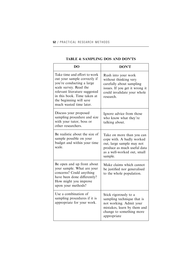| DO                                                                                                                                                                                                                                        | <b>DON'T</b>                                                                                                                                                 |  |
|-------------------------------------------------------------------------------------------------------------------------------------------------------------------------------------------------------------------------------------------|--------------------------------------------------------------------------------------------------------------------------------------------------------------|--|
| Take time and effort to work<br>out your sample correctly if<br>you're conducting a large<br>scale survey. Read the<br>relevant literature suggested<br>in this book. Time taken at<br>the beginning will save<br>much wasted time later. | Rush into your work<br>without thinking very<br>carefully about sampling<br>issues. If you get it wrong it<br>could invalidate your whole<br>research.       |  |
| Discuss your proposed<br>sampling procedure and size<br>with your tutor, boss or<br>other researchers.                                                                                                                                    | Ignore advice from those<br>who know what they're<br>talking about.                                                                                          |  |
| Be realistic about the size of<br>sample possible on your<br>budget and within your time<br>scale.                                                                                                                                        | Take on more than you can<br>cope with. A badly worked<br>out, large sample may not<br>produce as much useful data<br>as a well-worked out, small<br>sample. |  |
| Be open and up front about<br>your sample. What are your<br>concerns? Could anything<br>have been done differently?<br>How might you improve<br>upon your methods?                                                                        | Make claims which cannot<br>be justified nor generalised<br>to the whole population.                                                                         |  |
| Use a combination of<br>sampling procedures if it is<br>appropriate for your work.                                                                                                                                                        | Stick rigorously to a<br>sampling technique that is<br>not working. Admit your<br>mistakes, learn by them and<br>change to something more<br>appropriate     |  |

### TABLE 4: SAMPLING DOS AND DON'TS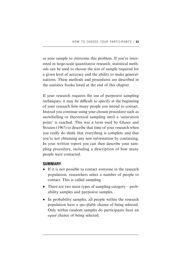as your sample to overcome this problem. If you're interested in large-scale quantitative research, statistical methods can be used to choose the size of sample required for a given level of accuracy and the ability to make generalisations. These methods and procedures are described in the statistics books listed at the end of this chapter.

If your research requires the use of purposive sampling techniques, it may be difficult to specify at the beginning of your research how many people you intend to contact. Instead you continue using your chosen procedure such as snowballing or theoretical sampling until a 'saturation point' is reached. This was a term used by Glaser and Strauss (1967) to describe that time of your research when you really do think that everything is complete and that you're not obtaining any new information by continuing. In your written report you can then describe your sampling procedure, including a description of how many people were contacted.

# SUMMARY

- $\bullet$  If it is not possible to contact everyone in the research population, researchers select a number of people to contact. This is called sampling.
- $\bullet$  There are two main types of sampling category probability samples and purposive samples.
- In probability samples, all people within the research population have a specifiable chance of being selected. Only within random samples do participants have an equal chance of being selected.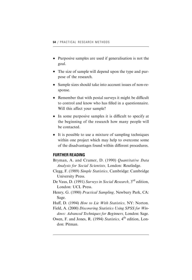- $\bullet$  Purposive samples are used if generalisation is not the goal.
- $\bullet$  The size of sample will depend upon the type and purpose of the research.
- $\bullet$  Sample sizes should take into account issues of non-response.
- $\triangle$  Remember that with postal surveys it might be difficult to control and know who has filled in a questionnaire. Will this affect your sample?
- $\bullet$  In some purposive samples it is difficult to specify at the beginning of the research how many people will be contacted.
- $\bullet$  It is possible to use a mixture of sampling techniques within one project which may help to overcome some of the disadvantages found within different procedures.

#### FURTHER READING

- Bryman, A. and Cramer, D. (1990) Quantitative Data Analysis for Social Scientists, London: Routledge.
- Clegg, F. (1989) Simple Statistics, Cambridge: Cambridge University Press.
- De Vaus, D. (1991) Surveys in Social Research, 3<sup>rd</sup> edition, London: UCL Press.
- Henry, G. (1990) Practical Sampling, Newbury Park, CA: Sage.
- Huff, D. (1994) How to Lie With Statistics, NY: Norton.
- Field, A. (2000) Discovering Statistics Using SPSS for Windows: Advanced Techniques for Beginners, London: Sage.
- Owen, F. and Jones, R. (1994) Statistics, 4<sup>th</sup> edition, London: Pitman.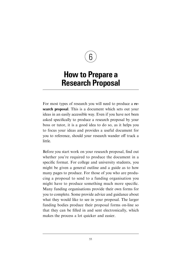

# How to Prepare a Research Proposal

For most types of research you will need to produce a research proposal. This is a document which sets out your ideas in an easily accessible way. Even if you have not been asked specifically to produce a research proposal by your boss or tutor, it is a good idea to do so, as it helps you to focus your ideas and provides a useful document for you to reference, should your research wander off track a little.

Before you start work on your research proposal, find out whether you're required to produce the document in a specific format. For college and university students, you might be given a general outline and a guide as to how many pages to produce. For those of you who are producing a proposal to send to a funding organisation you might have to produce something much more specific. Many funding organisations provide their own forms for you to complete. Some provide advice and guidance about what they would like to see in your proposal. The larger funding bodies produce their proposal forms on-line so that they can be filled in and sent electronically, which makes the process a lot quicker and easier.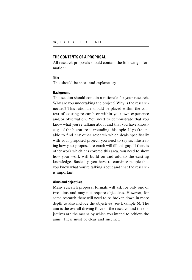# THE CONTENTS OF A PROPOSAL

All research proposals should contain the following information:

## **Title**

This should be short and explanatory.

## **Background**

This section should contain a rationale for your research. Why are you undertaking the project? Why is the research needed? This rationale should be placed within the context of existing research or within your own experience and/or observation. You need to demonstrate that you know what you're talking about and that you have knowledge of the literature surrounding this topic. If you're unable to find any other research which deals specifically with your proposed project, you need to say so, illustrating how your proposed research will fill this gap. If there is other work which has covered this area, you need to show how your work will build on and add to the existing knowledge. Basically, you have to convince people that you know what you're talking about and that the research is important.

## Aims and objectives

Many research proposal formats will ask for only one or two aims and may not require objectives. However, for some research these will need to be broken down in more depth to also include the objectives (see Example 6). The aim is the overall driving force of the research and the objectives are the means by which you intend to achieve the aims. These must be clear and succinct.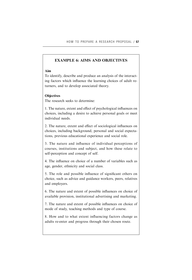## EXAMPLE 6: AIMS AND OBJECTIVES

#### Aim

To identify, describe and produce an analysis of the interacting factors which influence the learning choices of adult returners, and to develop associated theory.

## **Objectives**

The research seeks to determine:

1. The nature, extent and effect of psychological influences on choices, including a desire to achieve personal goals or meet individual needs.

2. The nature, extent and effect of sociological influences on choices, including background, personal and social expectations, previous educational experience and social role.

3. The nature and influence of individual perceptions of courses, institutions and subject, and how these relate to self-perception and concept of self.

4. The influence on choice of a number of variables such as age, gender, ethnicity and social class.

5. The role and possible influence of significant others on choice, such as advice and guidance workers, peers, relatives and employers.

6. The nature and extent of possible influences on choice of available provision, institutional advertising and marketing.

7. The nature and extent of possible influences on choice of mode of study, teaching methods and type of course.

8. How and to what extent influencing factors change as adults re-enter and progress through their chosen route.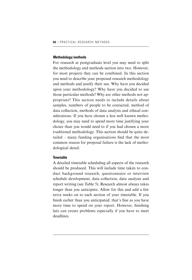#### Methodology/methods

For research at postgraduate level you may need to split the methodology and methods section into two. However, for most projects they can be combined. In this section you need to describe your proposed research methodology and methods and justify their use. Why have you decided upon your methodology? Why have you decided to use those particular methods? Why are other methods not appropriate? This section needs to include details about samples, numbers of people to be contacted, method of data collection, methods of data analysis and ethical considerations. If you have chosen a less well known methodology, you may need to spend more time justifying your choice than you would need to if you had chosen a more traditional methodology. This section should be quite detailed – many funding organisations find that the most common reason for proposal failure is the lack of methodological detail.

#### **Timetable**

A detailed timetable scheduling all aspects of the research should be produced. This will include time taken to conduct background research, questionnaire or interview schedule development, data collection, data analysis and report writing (see Table 5). Research almost always takes longer than you anticipate. Allow for this and add a few extra weeks on to each section of your timetable. If you finish earlier than you anticipated, that's fine as you have more time to spend on your report. However, finishing late can create problems especially if you have to meet deadlines.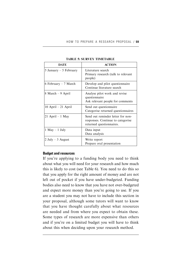| <b>DATE</b>              | <b>ACTION</b>                                                                                      |
|--------------------------|----------------------------------------------------------------------------------------------------|
| 5 January $-$ 5 February | Literature search<br>Primary research (talk to relevant<br>people)                                 |
| 6 February – 7 March     | Develop and pilot questionnaire<br>Continue literature search                                      |
| 8 March – 9 April        | Analyse pilot work and revise<br>questionnaire<br>Ask relevant people for comments                 |
| $10$ April – 21 April    | Send out questionnaire<br>Categorise returned questionnaires                                       |
| $21$ April – 1 May       | Send out reminder letter for non-<br>responses. Continue to categorise<br>returned questionnaires. |
| $1$ May $-1$ July        | Data input<br>Data analysis                                                                        |
| $2$ July $-$ 3 August    | Write report<br>Prepare oral presentation                                                          |

TABLE 5: SURVEY TIMETABLE

#### Budget and resources

If you're applying to a funding body you need to think about what you will need for your research and how much this is likely to cost (see Table 6). You need to do this so that you apply for the right amount of money and are not left out of pocket if you have under-budgeted. Funding bodies also need to know that you have not over-budgeted and expect more money than you're going to use. If you are a student you may not have to include this section in your proposal, although some tutors will want to know that you have thought carefully about what resources are needed and from where you expect to obtain these. Some types of research are more expensive than others and if you're on a limited budget you will have to think about this when deciding upon your research method.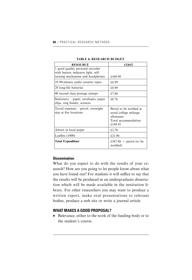| <b>RESOURCE</b>                                                         | <b>COST</b>                                                                                      |
|-------------------------------------------------------------------------|--------------------------------------------------------------------------------------------------|
| 1 good quality personal recorder<br>with battery indicator light, self- |                                                                                                  |
| turning mechanism and headphones                                        | £109.99                                                                                          |
| 10 90-minute audio cassette tapes                                       | £6.99                                                                                            |
| 20 long-life batteries                                                  | £8.99                                                                                            |
| 40 second class postage stamps                                          | £7.60                                                                                            |
| Stationery – paper, envelopes, paper<br>clips, ring binder, scissors    | £8.76                                                                                            |
| Travel expenses – petrol, overnight<br>stay at five locations           | Petrol to be notified at<br>usual college mileage<br>allowance<br>Total accommodation<br>£199.95 |
| Advert in local paper                                                   | £3.70                                                                                            |
| Leaflets $(1000)$                                                       | £21.90                                                                                           |
| <b>Total Expenditure</b>                                                | £367.88 + petrol (to be<br>notified)                                                             |

|  | TABLE 6: RESEARCH BUDGET |  |
|--|--------------------------|--|
|--|--------------------------|--|

#### **Dissemination**

What do you expect to do with the results of your research? How are you going to let people know about what you have found out? For students it will suffice to say that the results will be produced in an undergraduate dissertation which will be made available in the institution library. For other researchers you may want to produce a written report, make oral presentations to relevant bodies, produce a web site or write a journal article.

# WHAT MAKES A GOOD PROPOSAL?

• Relevance, either to the work of the funding body or to the student's course.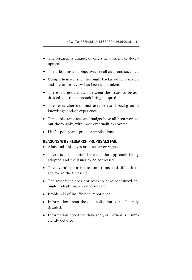- $\bullet$  The research is unique, or offers new insight or development.
- $\bullet$  The title, aims and objectives are all clear and succinct.
- $\bullet$  Comprehensive and thorough background research and literature review has been undertaken.
- $\bullet$  There is a good match between the issues to be addressed and the approach being adopted.
- $\triangle$  The researcher demonstrates relevant background knowledge and/or experience.
- $\bullet$  Timetable, resources and budget have all been worked out thoroughly, with most eventualities covered.
- $\bullet$  Useful policy and practice implications.

# REASONS WHY RESEARCH PROPOSALS FAIL

- $\triangle$  Aims and objectives are unclear or vague.
- $\bullet$  There is a mismatch between the approach being adopted and the issues to be addressed.
- $\bullet$  The overall plan is too ambitious and difficult to achieve in the timescale.
- $\bullet$  The researcher does not seem to have conducted enough in-depth background research.
- $\bullet$  Problem is of insufficient importance.
- $\bullet$  Information about the data collection is insufficiently detailed.
- $\bullet$  Information about the data analysis method is insufficiently detailed.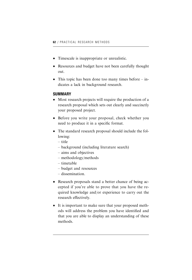- $\bullet$  Timescale is inappropriate or unrealistic.
- $\triangle$  Resources and budget have not been carefully thought out.
- $\bullet$  This topic has been done too many times before indicates a lack in background research.

#### **SUMMARY**

- $\bullet$  Most research projects will require the production of a research proposal which sets out clearly and succinctly your proposed project.
- Before you write your proposal, check whether you need to produce it in a specific format.
- $\bullet$  The standard research proposal should include the following:
	- title
	- background (including literature search)
	- aims and objectives
	- methodology/methods
	- timetable
	- budget and resources
	- dissemination.
- $\triangle$  Research proposals stand a better chance of being accepted if you're able to prove that you have the required knowledge and/or experience to carry out the research effectively.
- $\bullet$  It is important to make sure that your proposed methods will address the problem you have identified and that you are able to display an understanding of these methods.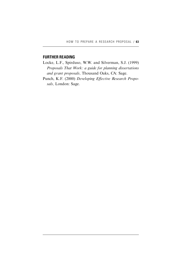#### FURTHER READING

- Locke, L.F., Spirduso, W.W. and Silverman, S.J. (1999) Proposals That Work: a guide for planning dissertations and grant proposals, Thousand Oaks, CA: Sage.
- Punch, K.F. (2000) Developing Effective Research Proposals, London: Sage.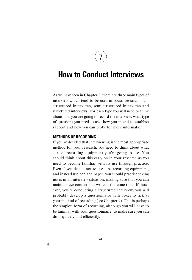7

# How to Conduct Interviews

As we have seen in Chapter 3, there are three main types of interview which tend to be used in social research – unstructured interviews, semi-structured interviews and structured interviews. For each type you will need to think about how you are going to record the interview, what type of questions you need to ask, how you intend to establish rapport and how you can probe for more information.

# METHODS OF RECORDING

If you've decided that interviewing is the most appropriate method for your research, you need to think about what sort of recording equipment you're going to use. You should think about this early on in your research as you need to become familiar with its use through practice. Even if you decide not to use tape-recording equipment, and instead use pen and paper, you should practice taking notes in an interview situation, making sure that you can maintain eye contact and write at the same time. If, however, you're conducting a structured interview, you will probably develop a questionnaire with boxes to tick as your method of recording (see Chapter 9). This is perhaps the simplest form of recording, although you will have to be familiar with your questionnaire, to make sure you can do it quickly and efficiently.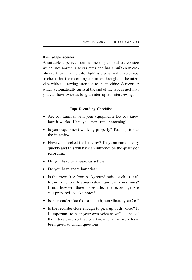#### Using a tape recorder

A suitable tape recorder is one of personal stereo size which uses normal size cassettes and has a built-in microphone. A battery indicator light is crucial – it enables you to check that the recording continues throughout the interview without drawing attention to the machine. A recorder which automatically turns at the end of the tape is useful as you can have twice as long uninterrupted interviewing.

#### Tape-Recording Checklist

- $\triangle$  Are you familiar with your equipment? Do you know how it works? Have you spent time practising?
- $\bullet$  Is your equipment working properly? Test it prior to the interview.
- $\triangleleft$  Have you checked the batteries? They can run out very quickly and this will have an influence on the quality of recording.
- $\bullet$  Do you have two spare cassettes?
- $\bullet$  Do you have spare batteries?
- $\bullet$  Is the room free from background noise, such as traffic, noisy central heating systems and drink machines? If not, how will these noises affect the recording? Are you prepared to take notes?
- $\bullet$  Is the recorder placed on a smooth, non-vibratory surface?
- $\bullet$  Is the recorder close enough to pick up both voices? It is important to hear your own voice as well as that of the interviewee so that you know what answers have been given to which questions.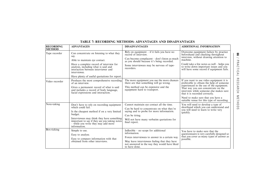#### TABLE 7: RECORDING METHODS: ADVANTAGES AND DISADVANTAGES

| <b>RECORDING</b><br><b>METHOD</b> | <b>ADVANTAGES</b>                                                                                                                                  | <b>DISADVANTAGES</b>                                                                                            | <b>ADDITIONAL INFORMATION</b>                                                                                                                                |  |
|-----------------------------------|----------------------------------------------------------------------------------------------------------------------------------------------------|-----------------------------------------------------------------------------------------------------------------|--------------------------------------------------------------------------------------------------------------------------------------------------------------|--|
| Tape recorder                     | Can concentrate on listening to what they<br>say.                                                                                                  | Rely on equipment $-$ if it fails you have no<br>record of interview.                                           | Overcome equipment failure by practice<br>beforehand and checking throughout                                                                                 |  |
|                                   | Able to maintain eye contact.                                                                                                                      | Can become complacent – don't listen as much<br>as you should because it's being recorded.                      | interview, without drawing attention to<br>machine.                                                                                                          |  |
|                                   | Have a complete record of interview for<br>analysis, including what is said and<br>interaction between interviewer and<br>interviewee.             | Some interviewees may be nervous of tape-<br>recorders.                                                         | Could take a few notes as well – helps you<br>to write down important issues and you<br>will have some record if equipment fails.                            |  |
|                                   | Have plenty of useful quotations for report.                                                                                                       |                                                                                                                 |                                                                                                                                                              |  |
| Video recorder                    | Produces the most comprehensive recording<br>of an interview.                                                                                      | The more equipment you use the more chances<br>there are that something will go wrong.                          | If you want to use video equipment it is<br>preferable to obtain the help of someone                                                                         |  |
|                                   | Gives a permanent record of what is said<br>and includes a record of body language,<br>facial expressions and interaction.                         | This method can be expensive and the<br>equipment hard to transport.                                            | experienced in the use of the equipment.<br>That way you can concentrate on the<br>interview while someone else makes sure<br>that it is recorded correctly. |  |
|                                   |                                                                                                                                                    |                                                                                                                 | Need to make sure that you have a<br>suitable venue for this type of recording.                                                                              |  |
| Note-taking                       | Don't have to rely on recording equipment<br>which could fail.<br>Is the cheapest method if on a very limited<br>budget.                           | Cannot maintain eye contact all the time.                                                                       | You will need to develop a type of<br>shorthand which you can understand and<br>you will need to learn to write very<br>quickly.                             |  |
|                                   |                                                                                                                                                    | Can be hard to concentrate on what they're<br>saying and to probe for more information.                         |                                                                                                                                                              |  |
|                                   |                                                                                                                                                    | Can be tiring.                                                                                                  |                                                                                                                                                              |  |
|                                   | Interviewees may think they have something<br>important to say if they see you taking notes<br>- while you write they may add more<br>information. | Will not have many verbatim quotations for<br>final report.                                                     |                                                                                                                                                              |  |
| Box-ticking                       | Simple to use.                                                                                                                                     | Inflexible $-$ no scope for additional                                                                          | You have to make sure that the<br>questionnaire is very carefully designed so<br>that you cover as many types of answer as<br>possible.                      |  |
|                                   | Easy to analyse.                                                                                                                                   | information.                                                                                                    |                                                                                                                                                              |  |
|                                   | Easy to compare information with that<br>obtained from other interviews.                                                                           | Forces interviewees to answer in a certain way.                                                                 |                                                                                                                                                              |  |
|                                   |                                                                                                                                                    | May leave interviewees feeling that they have<br>not answered in the way they would have liked<br>to have done. |                                                                                                                                                              |  |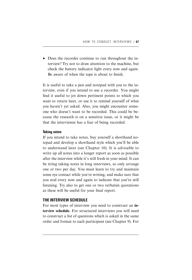$\bullet$  Does the recorder continue to run throughout the interview? Try not to draw attention to the machine, but check the battery indicator light every now and again. Be aware of when the tape is about to finish.

It is useful to take a pen and notepad with you to the interview, even if you intend to use a recorder. You might find it useful to jot down pertinent points to which you want to return later, or use it to remind yourself of what you haven't yet asked. Also, you might encounter someone who doesn't want to be recorded. This could be because the research is on a sensitive issue, or it might be that the interviewee has a fear of being recorded.

#### Taking notes

If you intend to take notes, buy yourself a shorthand notepad and develop a shorthand style which you'll be able to understand later (see Chapter 10). It is advisable to write up all notes into a longer report as soon as possible after the interview while it's still fresh in your mind. It can be tiring taking notes in long interviews, so only arrange one or two per day. You must learn to try and maintain some eye contact while you're writing, and make sure that you nod every now and again to indicate that you're still listening. Try also to get one or two verbatim quotations as these will be useful for your final report.

# THE INTERVIEW SCHEDULE

For most types of interview you need to construct an interview schedule. For structured interviews you will need to construct a list of questions which is asked in the same order and format to each participant (see Chapter 9). For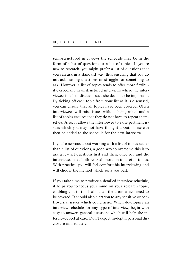semi-structured interviews the schedule may be in the form of a list of questions or a list of topics. If you're new to research, you might prefer a list of questions that you can ask in a standard way, thus ensuring that you do not ask leading questions or struggle for something to ask. However, a list of topics tends to offer more flexibility, especially in unstructured interviews where the interviewee is left to discuss issues she deems to be important. By ticking off each topic from your list as it is discussed, you can ensure that all topics have been covered. Often interviewees will raise issues without being asked and a list of topics ensures that they do not have to repeat themselves. Also, it allows the interviewee to raise pertinent issues which you may not have thought about. These can then be added to the schedule for the next interview.

If you're nervous about working with a list of topics rather than a list of questions, a good way to overcome this is to ask a few set questions first and then, once you and the interviewee have both relaxed, move on to a set of topics. With practice, you will feel comfortable interviewing and will choose the method which suits you best.

If you take time to produce a detailed interview schedule, it helps you to focus your mind on your research topic, enabling you to think about all the areas which need to be covered. It should also alert you to any sensitive or controversial issues which could arise. When developing an interview schedule for any type of interview, begin with easy to answer, general questions which will help the interviewee feel at ease. Don't expect in-depth, personal disclosure immediately.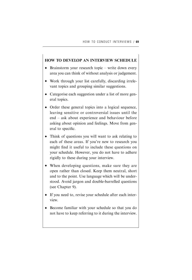## HOW TO DEVELOP AN INTERVIEW SCHEDULE

- Brainstorm your research topic write down every area you can think of without analysis or judgement.
- Work through your list carefully, discarding irrelevant topics and grouping similar suggestions.
- $\bullet$  Categorise each suggestion under a list of more general topics.
- $\triangleright$  Order these general topics into a logical sequence, leaving sensitive or controversial issues until the end – ask about experience and behaviour before asking about opinion and feelings. Move from general to specific.
- Think of questions you will want to ask relating to each of these areas. If you're new to research you might find it useful to include these questions on your schedule. However, you do not have to adhere rigidly to these during your interview.
- $\bullet$  When developing questions, make sure they are open rather than closed. Keep them neutral, short and to the point. Use language which will be understood. Avoid jargon and double-barrelled questions (see Chapter 9).
- If you need to, revise your schedule after each interview.
- Become familiar with your schedule so that you do not have to keep referring to it during the interview.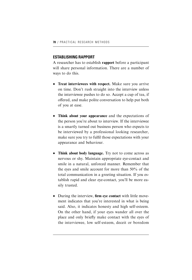# ESTABLISHING RAPPORT

A researcher has to establish rapport before a participant will share personal information. There are a number of ways to do this.

- $\triangle$  Treat interviewees with respect. Make sure you arrive on time. Don't rush straight into the interview unless the interviewee pushes to do so. Accept a cup of tea, if offered, and make polite conversation to help put both of you at ease.
- Think about your appearance and the expectations of the person you're about to interview. If the interviewee is a smartly turned out business person who expects to be interviewed by a professional looking researcher, make sure you try to fulfil those expectations with your appearance and behaviour.
- Think about body language. Try not to come across as nervous or shy. Maintain appropriate eye-contact and smile in a natural, unforced manner. Remember that the eyes and smile account for more than 50% of the total communication in a greeting situation. If you establish rapid and clear eye-contact, you'll be more easily trusted.
- $\bullet$  During the interview, firm eye contact with little movement indicates that you're interested in what is being said. Also, it indicates honesty and high self-esteem. On the other hand, if your eyes wander all over the place and only briefly make contact with the eyes of the interviewee, low self-esteem, deceit or boredom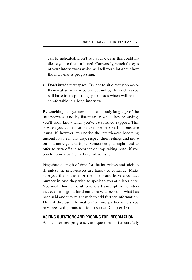can be indicated. Don't rub your eyes as this could indicate you're tired or bored. Conversely, watch the eyes of your interviewees which will tell you a lot about how the interview is progressing.

 $\bullet$  Don't invade their space. Try not to sit directly opposite them – at an angle is better, but not by their side as you will have to keep turning your heads which will be uncomfortable in a long interview.

By watching the eye movements and body language of the interviewees, and by listening to what they're saying, you'll soon know when you've established rapport. This is when you can move on to more personal or sensitive issues. If, however, you notice the interviewees becoming uncomfortable in any way, respect their feelings and move on to a more general topic. Sometimes you might need to offer to turn off the recorder or stop taking notes if you touch upon a particularly sensitive issue.

Negotiate a length of time for the interviews and stick to it, unless the interviewees are happy to continue. Make sure you thank them for their help and leave a contact number in case they wish to speak to you at a later date. You might find it useful to send a transcript to the interviewees – it is good for them to have a record of what has been said and they might wish to add further information. Do not disclose information to third parties unless you have received permission to do so (see Chapter 13).

## ASKING QUESTIONS AND PROBING FOR INFORMATION

As the interview progresses, ask questions, listen carefully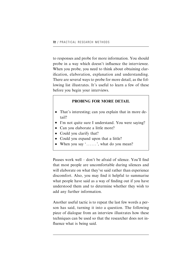to responses and probe for more information. You should probe in a way which doesn't influence the interviewee. When you probe, you need to think about obtaining clarification, elaboration, explanation and understanding. There are several ways to probe for more detail, as the following list illustrates. It's useful to learn a few of these before you begin your interviews.

# PROBING FOR MORE DETAIL

- That's interesting; can you explain that in more detail?
- I'm not quite sure I understand. You were saying?
- $\triangleleft$  Can you elaborate a little more?
- $\bullet$  Could you clarify that?
- $\bullet$  Could you expand upon that a little?
- $\bullet$  When you say '......', what do you mean?

Pauses work well – don't be afraid of silence. You'll find that most people are uncomfortable during silences and will elaborate on what they've said rather than experience discomfort. Also, you may find it helpful to summarise what people have said as a way of finding out if you have understood them and to determine whether they wish to add any further information.

Another useful tactic is to repeat the last few words a person has said, turning it into a question. The following piece of dialogue from an interview illustrates how these techniques can be used so that the researcher does not influence what is being said.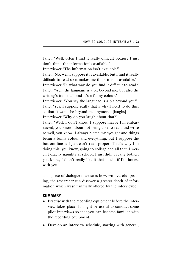Janet: 'Well, often I find it really difficult because I just don't think the information's available.'

Interviewer 'The information isn't available?'

Janet: 'No, well I suppose it is available, but I find it really difficult to read so it makes me think it isn't available.'

Interviewer 'In what way do you find it difficult to read?' Janet: 'Well, the language is a bit beyond me, but also the writing's too small and it's a funny colour.'

Interviewer: 'You say the language is a bit beyond you?' Janet 'Yes, I suppose really that's why I need to do this, so that it won't be beyond me anymore.' [laughs] Interviewer 'Why do you laugh about that?'

Janet: 'Well, I don't know, I suppose maybe I'm embarrassed, you know, about not being able to read and write so well, you know, I always blame my eyesight and things being a funny colour and everything, but I suppose the bottom line is I just can't read proper. That's why I'm doing this, you know, going to college and all that. I weren't exactly naughty at school, I just didn't really bother, you know, I didn't really like it that much, if I'm honest with you.'

This piece of dialogue illustrates how, with careful probing, the researcher can discover a greater depth of information which wasn't initially offered by the interviewee.

## SUMMARY

- $\bullet$  Practise with the recording equipment before the interview takes place. It might be useful to conduct some pilot interviews so that you can become familiar with the recording equipment.
- Develop an interview schedule, starting with general,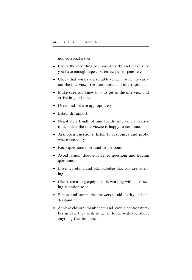non-personal issues.

- $\bullet$  Check the recording equipment works and make sure you have enough tapes, batteries, paper, pens, etc.
- $\bullet$  Check that you have a suitable venue in which to carry out the interview, free from noise and interruptions.
- $\bullet$  Make sure you know how to get to the interview and arrive in good time.
- $\bullet$  Dress and behave appropriately.
- $\triangleleft$  Establish rapport.
- $\bullet$  Negotiate a length of time for the interview and stick to it, unless the interviewee is happy to continue.
- $\triangle$  Ask open questions, listen to responses and probe where necessary.
- $\bullet$  Keep questions short and to the point.
- $\triangle$  Avoid jargon, double-barrelled questions and leading questions.
- Listen carefully and acknowledge that you are listening.
- $\bullet$  Check recording equipment is working without drawing attention to it.
- Repeat and summarise answers to aid clarity and understanding.
- $\triangle$  Achieve closure, thank them and leave a contact number in case they wish to get in touch with you about anything that has arisen.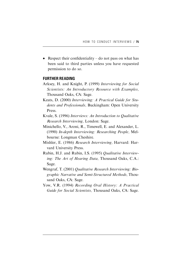$\triangle$  Respect their confidentiality – do not pass on what has been said to third parties unless you have requested permission to do so.

#### FURTHER READING

- Arksey, H. and Knight, P. (1999) Interviewing for Social Scientists: An Introductory Resource with Examples, Thousand Oaks, CA: Sage.
- Keats, D. (2000) Interviewing: A Practical Guide for Students and Professionals, Buckingham: Open University Press.
- Kvale, S. (1996) Interviews: An Introduction to Qualitative Research Interviewing, London: Sage.
- Minichello, V., Aroni, R., Timewell, E. and Alexander, L. (1990) In-depth Interviewing: Researching People, Melbourne: Longman Cheshire.
- Mishler, E. (1986) Research Interviewing, Harvard: Harvard University Press.
- Rubin, H.J. and Rubin, I.S. (1995) Qualitative Interviewing: The Art of Hearing Data, Thousand Oaks, C.A.: Sage.
- Wengraf, T. (2001) Qualitative Research Interviewing: Biographic Narrative and Semi-Structured Methods, Thousand Oaks, CA: Sage.
- Yow, V.R. (1994) Recording Oral History: A Practical Guide for Social Scientists, Thousand Oaks, CA: Sage.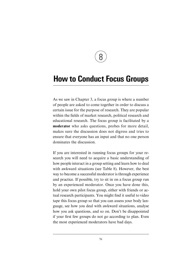8

# How to Conduct Focus Groups

As we saw in Chapter 3, a focus group is where a number of people are asked to come together in order to discuss a certain issue for the purpose of research. They are popular within the fields of market research, political research and educational research. The focus group is facilitated by a moderator who asks questions, probes for more detail, makes sure the discussion does not digress and tries to ensure that everyone has an input and that no one person dominates the discussion.

If you are interested in running focus groups for your research you will need to acquire a basic understanding of how people interact in a group setting and learn how to deal with awkward situations (see Table 8). However, the best way to become a successful moderator is through experience and practice. If possible, try to sit in on a focus group run by an experienced moderator. Once you have done this, hold your own pilot focus group, either with friends or actual research participants. You might find it useful to video tape this focus group so that you can assess your body language, see how you deal with awkward situations, analyse how you ask questions, and so on. Don't be disappointed if your first few groups do not go according to plan. Even the most experienced moderators have bad days.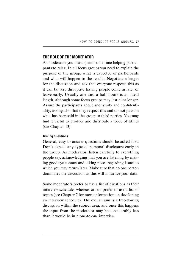# THE ROLE OF THE MODERATOR

As moderator you must spend some time helping participants to relax. In all focus groups you need to explain the purpose of the group, what is expected of participants and what will happen to the results. Negotiate a length for the discussion and ask that everyone respects this as it can be very disruptive having people come in late, or leave early. Usually one and a half hours is an ideal length, although some focus groups may last a lot longer. Assure the participants about anonymity and confidentiality, asking also that they respect this and do not pass on what has been said in the group to third parties. You may find it useful to produce and distribute a Code of Ethics (see Chapter 13).

## Asking questions

General, easy to answer questions should be asked first. Don't expect any type of personal disclosure early in the group. As moderator, listen carefully to everything people say, acknowledging that you are listening by making good eye contact and taking notes regarding issues to which you may return later. Make sure that no one person dominates the discussion as this will influence your data.

Some moderators prefer to use a list of questions as their interview schedule, whereas others prefer to use a list of topics (see Chapter 7 for more information on developing an interview schedule). The overall aim is a free-flowing discussion within the subject area, and once this happens the input from the moderator may be considerably less than it would be in a one-to-one interview.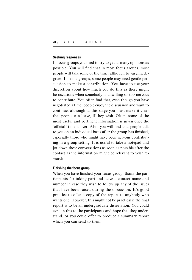#### Seeking responses

In focus groups you need to try to get as many opinions as possible. You will find that in most focus groups, most people will talk some of the time, although to varying degrees. In some groups, some people may need gentle persuasion to make a contribution. You have to use your discretion about how much you do this as there might be occasions when somebody is unwilling or too nervous to contribute. You often find that, even though you have negotiated a time, people enjoy the discussion and want to continue, although at this stage you must make it clear that people can leave, if they wish. Often, some of the most useful and pertinent information is given once the 'official' time is over. Also, you will find that people talk to you on an individual basis after the group has finished, especially those who might have been nervous contributing in a group setting. It is useful to take a notepad and jot down these conversations as soon as possible after the contact as the information might be relevant to your research.

#### Finishing the focus group

When you have finished your focus group, thank the participants for taking part and leave a contact name and number in case they wish to follow up any of the issues that have been raised during the discussion. It's good practice to offer a copy of the report to anybody who wants one. However, this might not be practical if the final report is to be an undergraduate dissertation. You could explain this to the participants and hope that they understand, or you could offer to produce a summary report which you can send to them.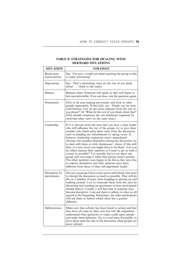#### TABLE 8: STRATEGIES FOR DEALING WITH AWKWARD SITUATIONS

| <b>SITUATION</b>              | <b>STRATEGY</b>                                                                                                                                                                                                                                                                                                                                                                                                                                                                                                                                                                                                                                                                                                                                                                                                                                                        |  |  |  |
|-------------------------------|------------------------------------------------------------------------------------------------------------------------------------------------------------------------------------------------------------------------------------------------------------------------------------------------------------------------------------------------------------------------------------------------------------------------------------------------------------------------------------------------------------------------------------------------------------------------------------------------------------------------------------------------------------------------------------------------------------------------------------------------------------------------------------------------------------------------------------------------------------------------|--|--|--|
| Break-away<br>conversations   | Say: 'I'm sorry, would you mind rejoining the group as this<br>is really interesting?'                                                                                                                                                                                                                                                                                                                                                                                                                                                                                                                                                                                                                                                                                                                                                                                 |  |  |  |
| Digressions                   | Say: 'That's interesting, what do the rest of you think<br>about ' (back to the topic)                                                                                                                                                                                                                                                                                                                                                                                                                                                                                                                                                                                                                                                                                                                                                                                 |  |  |  |
| Silences                      | Remain silent. Someone will speak as they will begin to<br>feel uncomfortable. If no one does, ask the question again.                                                                                                                                                                                                                                                                                                                                                                                                                                                                                                                                                                                                                                                                                                                                                 |  |  |  |
| Dominance                     | First of all stop making eye-contact and look at other<br>people expectantly. If this fails, say: 'Thank you for your<br>contribution. Can we get some opinions from the rest of<br>you please?' Or 'What do the rest of you think about that?'<br>(This should counteract the one dominant argument by<br>receiving other views on the same issue.)                                                                                                                                                                                                                                                                                                                                                                                                                                                                                                                   |  |  |  |
| Leadership                    | If it is obvious from the start that you have a clear leader<br>who will influence the rest of the group, try to give them<br>another role which takes them away from the discussion,<br>such as handing out refreshments or taking notes. If,<br>however, leadership tendencies aren't immediately<br>obvious, but manifest themselves during the discussion, try<br>to deal with them as with 'dominance', above. If this still<br>fails, as a last resort you might have to be blunt: 'Can you<br>let others express their opinions as I need to get as wide a<br>variety as possible?' I've actually had to cut short one<br>group and rearrange it when that person wasn't present.<br>The other members were happy to do this as they were free<br>to express themselves and their opinions were quite<br>different from those of their self-appointed 'leader'. |  |  |  |
| Disruption by<br>participants | On rare occasions I have come across individuals who want<br>to disrupt the discussion as much as possible. They will do<br>this in a number of ways, from laughing to getting up and<br>walking around. I try to overcome these from the start by<br>discussing and reaching an agreement on how participants<br>should behave. Usually I will find that if someone does<br>become disruptive, I can ask them to adhere to what we all<br>agreed at the beginning. Sometimes, the other participants<br>will ask them to behave which often has a greater<br>influence.                                                                                                                                                                                                                                                                                               |  |  |  |
| Defensiveness                 | Make sure that nobody has been forced to attend and that<br>they have all come by their own free will. Be empathetic<br>understand what questions or topics could upset people<br>and make them defensive. Try to avoid these if possible, or<br>leave them until the end of the discussion when people are<br>more relaxed.                                                                                                                                                                                                                                                                                                                                                                                                                                                                                                                                           |  |  |  |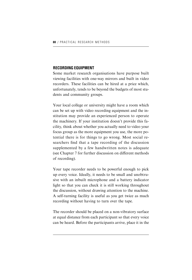## RECORDING EQUIPMENT

Some market research organisations have purpose built viewing facilities with one-way mirrors and built in video recorders. These facilities can be hired at a price which, unfortunately, tends to be beyond the budgets of most students and community groups.

Your local college or university might have a room which can be set up with video recording equipment and the institution may provide an experienced person to operate the machinery. If your institution doesn't provide this facility, think about whether you actually need to video your focus group as the more equipment you use, the more potential there is for things to go wrong. Most social researchers find that a tape recording of the discussion supplemented by a few handwritten notes is adequate (see Chapter 7 for further discussion on different methods of recording).

Your tape recorder needs to be powerful enough to pick up every voice. Ideally, it needs to be small and unobtrusive with an inbuilt microphone and a battery indicator light so that you can check it is still working throughout the discussion, without drawing attention to the machine. A self-turning facility is useful as you get twice as much recording without having to turn over the tape.

The recorder should be placed on a non-vibratory surface at equal distance from each participant so that every voice can be heard. Before the participants arrive, place it in the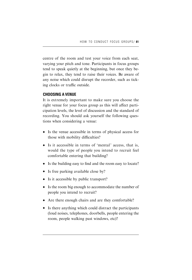centre of the room and test your voice from each seat, varying your pitch and tone. Participants in focus groups tend to speak quietly at the beginning, but once they begin to relax, they tend to raise their voices. Be aware of any noise which could disrupt the recorder, such as ticking clocks or traffic outside.

## CHOOSING A VENUE

It is extremely important to make sure you choose the right venue for your focus group as this will affect participation levels, the level of discussion and the standard of recording. You should ask yourself the following questions when considering a venue:

- $\bullet$  Is the venue accessible in terms of physical access for those with mobility difficulties?
- $\bullet$  Is it accessible in terms of 'mental' access, that is, would the type of people you intend to recruit feel comfortable entering that building?
- $\bullet$  Is the building easy to find and the room easy to locate?
- $\bullet$  Is free parking available close by?
- $\bullet$  Is it accessible by public transport?
- $\bullet$  Is the room big enough to accommodate the number of people you intend to recruit?
- $\triangle$  Are there enough chairs and are they comfortable?
- $\bullet$  Is there anything which could distract the participants (loud noises, telephones, doorbells, people entering the room, people walking past windows, etc)?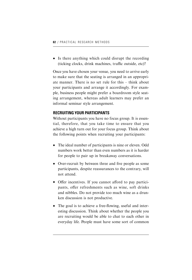$\bullet$  Is there anything which could disrupt the recording (ticking clocks, drink machines, traffic outside, etc)?

Once you have chosen your venue, you need to arrive early to make sure that the seating is arranged in an appropriate manner. There is no set rule for this – think about your participants and arrange it accordingly. For example, business people might prefer a boardroom style seating arrangement, whereas adult learners may prefer an informal seminar style arrangement.

# RECRUITING YOUR PARTICIPANTS

Without participants you have no focus group. It is essential, therefore, that you take time to ensure that you achieve a high turn out for your focus group. Think about the following points when recruiting your participants:

- $\bullet$  The ideal number of participants is nine or eleven. Odd numbers work better than even numbers as it is harder for people to pair up in breakaway conversations.
- $\bullet$  Over-recruit by between three and five people as some participants, despite reassurances to the contrary, will not attend.
- $\bullet$  Offer incentives. If you cannot afford to pay participants, offer refreshments such as wine, soft drinks and nibbles. Do not provide too much wine as a drunken discussion is not productive.
- $\bullet$  The goal is to achieve a free-flowing, useful and interesting discussion. Think about whether the people you are recruiting would be able to chat to each other in everyday life. People must have some sort of common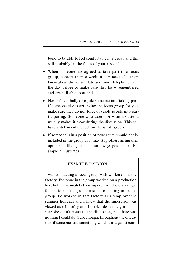bond to be able to feel comfortable in a group and this will probably be the focus of your research.

- $\bullet$  When someone has agreed to take part in a focus group, contact them a week in advance to let them know about the venue, date and time. Telephone them the day before to make sure they have remembered and are still able to attend.
- $\blacklozenge$  Never force, bully or cajole someone into taking part. If someone else is arranging the focus group for you, make sure they do nor force or cajole people into participating. Someone who does not want to attend usually makes it clear during the discussion. This can have a detrimental effect on the whole group.
- $\bullet$  If someone is in a position of power they should not be included in the group as it may stop others airing their opinions, although this is not always possible, as Example 7 illustrates.

## EXAMPLE 7: SIMON

I was conducting a focus group with workers in a toy factory. Everyone in the group worked on a production line, but unfortunately their supervisor, who'd arranged for me to run the group, insisted on sitting in on the group. I'd worked in that factory as a temp over the summer holidays and I knew that the supervisor was viewed as a bit of tyrant. I'd tried desperately to make sure she didn't come to the discussion, but there was nothing I could do. Sure enough, throughout the discussion if someone said something which was against com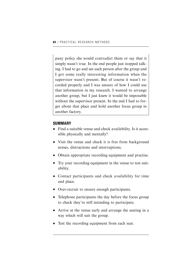pany policy she would contradict them or say that it simply wasn't true. In the end people just stopped talking. I had to go and see each person after the group and I got some really interesting information when the supervisor wasn't present. But of course it wasn't recorded properly and I was unsure of how I could use that information in my research. I wanted to arrange another group, but I just knew it would be impossible without the supervisor present. In the end I had to forget about that place and hold another focus group in another factory.

# SUMMARY

- $\bullet$  Find a suitable venue and check availability. Is it accessible physically and mentally?
- $\bullet$  Visit the venue and check it is free from background noises, distractions and interruptions.
- $\bullet$  Obtain appropriate recording equipment and practise.
- $\bullet$  Try your recording equipment in the venue to test suitability.
- $\bullet$  Contact participants and check availability for time and place.
- $\bullet$  Over-recruit to ensure enough participants.
- $\bullet$  Telephone participants the day before the focus group to check they're still intending to participate.
- $\triangle$  Arrive at the venue early and arrange the seating in a way which will suit the group.
- $\triangleleft$  Test the recording equipment from each seat.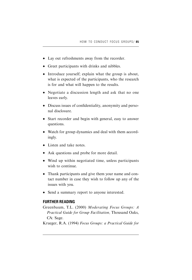- $\triangle$  Lay out refreshments away from the recorder.
- $\bullet$  Greet participants with drinks and nibbles.
- $\bullet$  Introduce yourself; explain what the group is about, what is expected of the participants, who the research is for and what will happen to the results.
- $\bullet$  Negotiate a discussion length and ask that no one leaves early.
- $\bullet$  Discuss issues of confidentiality, anonymity and personal disclosure.
- $\bullet$  Start recorder and begin with general, easy to answer questions.
- $\bullet$  Watch for group dynamics and deal with them accordingly.
- $\bullet$  Listen and take notes.
- $\triangleleft$  Ask questions and probe for more detail.
- $\bullet$  Wind up within negotiated time, unless participants wish to continue.
- $\bullet$  Thank participants and give them your name and contact number in case they wish to follow up any of the issues with you.
- Send a summary report to anyone interested.

#### FURTHER READING

Greenbaum, T.L. (2000) Moderating Focus Groups: A Practical Guide for Group Facilitation, Thousand Oaks, CA: Sage.

Krueger, R.A. (1994) Focus Groups: a Practical Guide for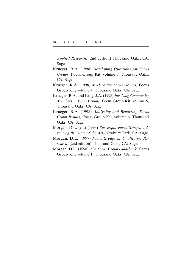Applied Research, (2nd edition) Thousand Oaks, CA: Sage.

- Krueger, R.A. (1998) Developing Questions for Focus Groups, Focus Group Kit, volume 3, Thousand Oaks, CA: Sage.
- Krueger, R.A. (1998) Moderating Focus Groups, Focus Group Kit, volume 4, Thousand Oaks, CA: Sage.
- Krueger, R.A. and King, J.A. (1998) Involving Community Members in Focus Groups, Focus Group Kit, volume 5, Thousand Oaks, CA: Sage.
- Krueger, R.A. (1998) Analyzing and Reporting Focus Group Results, Focus Group Kit, volume 6, Thousand Oaks, CA: Sage.
- Morgan, D.L. (ed.) (1993) Successful Focus Groups: Advancing the State of the Art, Newbury Park, CA: Sage.
- Morgan, D.L. (1997) Focus Groups as Qualitative Research, (2nd edition) Thousand Oaks, CA: Sage.
- Morgan, D.L. (1998) The Focus Group Guidebook, Focus Group Kit, volume 1, Thousand Oaks, CA: Sage.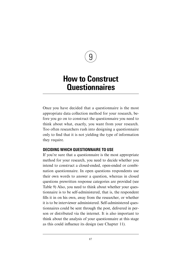

# How to Construct **Questionnaires**

Once you have decided that a questionnaire is the most appropriate data collection method for your research, before you go on to construct the questionnaire you need to think about what, exactly, you want from your research. Too often researchers rush into designing a questionnaire only to find that it is not yielding the type of information they require.

# DECIDING WHICH QUESTIONNAIRE TO USE

If you're sure that a questionnaire is the most appropriate method for your research, you need to decide whether you intend to construct a closed-ended, open-ended or combination questionnaire. In open questions respondents use their own words to answer a question, whereas in closed questions prewritten response categories are provided (see Table 9) Also, you need to think about whether your questionnaire is to be self-administered, that is, the respondent fills it in on his own, away from the researcher, or whether it is to be interviewer administered. Self-administered questionnaires could be sent through the post, delivered in person or distributed via the internet. It is also important to think about the analysis of your questionnaire at this stage as this could influence its design (see Chapter 11).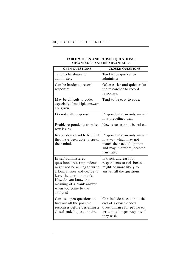#### TABLE 9: OPEN AND CLOSED QUESTIONS: ADVANTAGES AND DISADVANTAGES

| <b>OPEN QUESTIONS</b>                                                                                                                                                                                                                     | <b>CLOSED QUESTIONS</b>                                                                                                             |  |  |
|-------------------------------------------------------------------------------------------------------------------------------------------------------------------------------------------------------------------------------------------|-------------------------------------------------------------------------------------------------------------------------------------|--|--|
| Tend to be slower to<br>administer.                                                                                                                                                                                                       | Tend to be quicker to<br>administer.                                                                                                |  |  |
| Can be harder to record<br>responses.                                                                                                                                                                                                     | Often easier and quicker for<br>the researcher to record<br>responses.                                                              |  |  |
| May be difficult to code,<br>especially if multiple answers<br>are given.                                                                                                                                                                 | Tend to be easy to code.                                                                                                            |  |  |
| Do not stifle response.                                                                                                                                                                                                                   | Respondents can only answer<br>in a predefined way.                                                                                 |  |  |
| Enable respondents to raise<br>new issues.                                                                                                                                                                                                | New issues cannot be raised.                                                                                                        |  |  |
| Respondents tend to feel that<br>they have been able to speak<br>their mind.                                                                                                                                                              | Respondents can only answer<br>in a way which may not<br>match their actual opinion<br>and may, therefore, become<br>frustrated.    |  |  |
| In self-administered<br>questionnaires, respondents<br>might not be willing to write<br>a long answer and decide to<br>leave the question blank.<br>How do you know the<br>meaning of a blank answer<br>when you come to the<br>analysis? | Is quick and easy for<br>respondents to tick boxes -<br>might be more likely to<br>answer all the questions.                        |  |  |
| Can use open questions to<br>find out all the possible<br>responses before designing a<br>closed-ended questionnaire.                                                                                                                     | Can include a section at the<br>end of a closed-ended<br>questionnaire for people to<br>write in a longer response if<br>they wish. |  |  |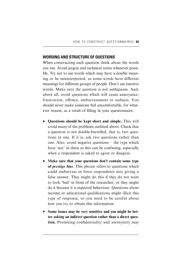# WORDING AND STRUCTURE OF OUFSTIONS

When constructing each question think about the words you use. Avoid jargon and technical terms whenever possible. Try not to use words which may have a double meaning or be misinterpreted, as some words have different meanings for different groups of people. Don't use emotive words. Make sure the question is not ambiguous. And, above all, avoid questions which will cause annoyance, frustration, offence, embarrassment or sadness. You should never make someone feel uncomfortable, for whatever reason, as a result of filling in your questionnaire.

- Questions should be kept short and simple. This will avoid many of the problems outlined above. Check that a question is not double-barrelled, that is, two questions in one. If it is, ask two questions rather than one. Also, avoid negative questions – the type which have 'not' in them as this can be confusing, especially when a respondent is asked to agree or disagree.
- $\blacklozenge$  Make sure that your questions don't contain some type of *prestige bias*. This phrase refers to questions which could embarrass or force respondents into giving a false answer. They might do this if they do not want to look 'bad' in front of the researcher, or they might do it because it is expected behaviour. Questions about income or educational qualifications might illicit this type of response, so you need to be careful about how you try to obtain this information.
- $\bullet$  Some issues may be very sensitive and you might be better asking an indirect question rather than a direct question. Promising confidentiality and anonymity may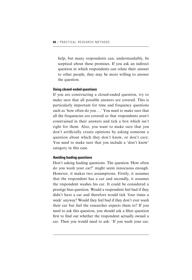help, but many respondents can, understandably, be sceptical about these promises. If you ask an indirect question in which respondents can relate their answer to other people, they may be more willing to answer the question.

#### Using closed-ended questions

If you are constructing a closed-ended question, try to make sure that all possible answers are covered. This is particularly important for time and frequency questions such as 'how often do you . . . 'You need to make sure that all the frequencies are covered so that respondents aren't constrained in their answers and tick a box which isn't right for them. Also, you want to make sure that you don't artificially create opinions by asking someone a question about which they don't know, or don't care. You need to make sure that you include a 'don't know' category in this case.

#### Avoiding leading questions

Don't asking leading questions. The question 'How often do you wash your car?' might seem innocuous enough. However, it makes two assumptions. Firstly, it assumes that the respondent has a car and secondly, it assumes the respondent washes his car. It could be considered a prestige bias question. Would a respondent feel bad if they didn't have a car and therefore would tick 'four times a week' anyway? Would they feel bad if they don't ever wash their car but feel the researcher expects them to? If you need to ask this question, you should ask a filter question first to find out whether the respondent actually owned a car. Then you would need to ask: 'If you wash your car,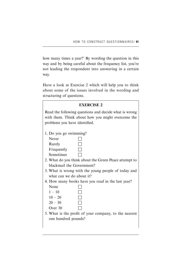how many times a year?' By wording the question in this way and by being careful about the frequency list, you're not leading the respondent into answering in a certain way.

Have a look at Exercise 2 which will help you to think about some of the issues involved in the wording and structuring of questions.

# EXERCISE 2

Read the following questions and decide what is wrong with them. Think about how you might overcome the problems you have identified.

- 1. Do you go swimming? Never **Rarely** Frequently
- 2. What do you think about the Green Peace attempt to blackmail the Government?
- 3. What is wrong with the young people of today and what can we do about it?
- 4. How many books have you read in the last year? None
	- $1 10$
	- $10 20$

**Sometimes** 

- $20 30$
- $Over 30$
- 5. What is the profit of your company, to the nearest one hundred pounds?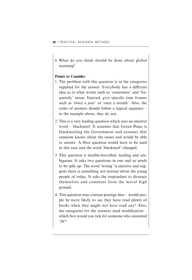6. What do you think should be done about global warming?

### Points to Consider

- 1. The problem with this question is in the categories supplied for the answer. Everybody has a different idea as to what words such as 'sometimes' and 'frequently' mean. Instead, give specific time frames such as 'twice a year' or 'once a month'. Also, the order of answers should follow a logical sequence – in the example above, they do not.
- 2. This is a very leading question which uses an emotive word – blackmail. It assumes that Green Peace is blackmailing the Government and assumes that someone knows about the issues and would be able to answer. A filter question would have to be used in this case and the word 'blackmail' changed.
- 3. This question is double-barrelled, leading and ambiguous. It asks two questions in one and so needs to be split up. The word 'wrong' is emotive and suggests there is something not normal about the young people of today. It asks the respondent to distance themselves and comment from the moral high ground.
- 4. This question may contain prestige bias would people be more likely to say they have read plenty of books when they might not have read any? Also, the categories for the answers need modification – which box would you tick for someone who answered '20'?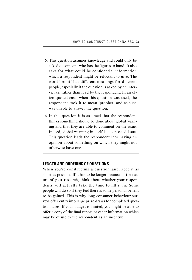- 6. This question assumes knowledge and could only be asked of someone who has the figures to hand. It also asks for what could be confidential information which a respondent might be reluctant to give. The word 'profit' has different meanings for different people, especially if the question is asked by an interviewer, rather than read by the respondent. In an often quoted case, when this question was used, the respondent took it to mean 'prophet' and as such was unable to answer the question.
- 6. In this question it is assumed that the respondent thinks something should be done about global warning and that they are able to comment on the issue. Indeed, global warming in itself is a contested issue. This question leads the respondent into having an opinion about something on which they might not otherwise have one.

# LENGTH AND ORDERING OF QUESTIONS

When you're constructing a questionnaire, keep it as short as possible. If it has to be longer because of the nature of your research, think about whether your respondents will actually take the time to fill it in. Some people will do so if they feel there is some personal benefit to be gained. This is why long consumer behaviour surveys offer entry into large prize draws for completed questionnaires. If your budget is limited, you might be able to offer a copy of the final report or other information which may be of use to the respondent as an incentive.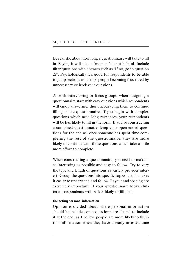Be realistic about how long a questionnaire will take to fill in. Saying it will take a 'moment' is not helpful. Include filter questions with answers such as 'If no, go to question 28'. Psychologically it's good for respondents to be able to jump sections as it stops people becoming frustrated by unnecessary or irrelevant questions.

As with interviewing or focus groups, when designing a questionnaire start with easy questions which respondents will enjoy answering, thus encouraging them to continue filling in the questionnaire. If you begin with complex questions which need long responses, your respondents will be less likely to fill in the form. If you're constructing a combined questionnaire, keep your open-ended questions for the end as, once someone has spent time completing the rest of the questionnaire, they are more likely to continue with those questions which take a little more effort to complete.

When constructing a questionnaire, you need to make it as interesting as possible and easy to follow. Try to vary the type and length of questions as variety provides interest. Group the questions into specific topics as this makes it easier to understand and follow. Layout and spacing are extremely important. If your questionnaire looks cluttered, respondents will be less likely to fill it in.

#### Collecting personal information

Opinion is divided about where personal information should be included on a questionnaire. I tend to include it at the end, as I believe people are more likely to fill in this information when they have already invested time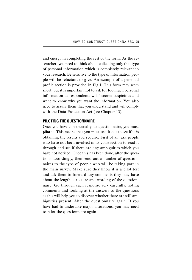and energy in completing the rest of the form. As the researcher, you need to think about collecting only that type of personal information which is completely relevant to your research. Be sensitive to the type of information people will be reluctant to give. An example of a personal profile section is provided in Fig.1. This form may seem short, but it is important not to ask for too much personal information as respondents will become suspicious and want to know why you want the information. You also need to assure them that you understand and will comply with the Data Protection Act (see Chapter 13).

## PILOTING THE QUESTIONNAIRE

Once you have constructed your questionnaire, you must pilot it. This means that you must test it out to see if it is obtaining the results you require. First of all, ask people who have not been involved in its construction to read it through and see if there are any ambiguities which you have not noticed. Once this has been done, alter the questions accordingly, then send out a number of questionnaires to the type of people who will be taking part in the main survey. Make sure they know it is a pilot test and ask them to forward any comments they may have about the length, structure and wording of the questionnaire. Go through each response very carefully, noting comments and looking at the answers to the questions as this will help you to discover whether there are still ambiguities present. Alter the questionnaire again. If you have had to undertake major alterations, you may need to pilot the questionnaire again.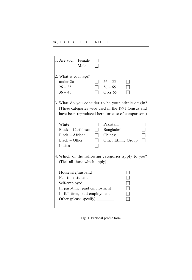## 96 / PRACTICAL RESEARCH METHODS

|                        | 1. Are you: Female                                 |      |        |                                                    |  |  |  |  |  |
|------------------------|----------------------------------------------------|------|--------|----------------------------------------------------|--|--|--|--|--|
|                        |                                                    | Male |        |                                                    |  |  |  |  |  |
|                        |                                                    |      |        |                                                    |  |  |  |  |  |
|                        | 2. What is your age?                               |      |        |                                                    |  |  |  |  |  |
|                        | under 26                                           |      |        | $56 - 55$                                          |  |  |  |  |  |
|                        | $26 - 35$                                          |      |        | $56 - 65$                                          |  |  |  |  |  |
|                        | $36 - 45$                                          |      |        | Over 65                                            |  |  |  |  |  |
|                        |                                                    |      |        | 3. What do you consider to be your ethnic origin?  |  |  |  |  |  |
|                        | (These categories were used in the 1991 Census and |      |        |                                                    |  |  |  |  |  |
|                        | have been reproduced here for ease of comparison.) |      |        |                                                    |  |  |  |  |  |
|                        | White                                              |      |        | Pakistani                                          |  |  |  |  |  |
|                        | Black – Caribbean                                  |      |        | Bangladeshi                                        |  |  |  |  |  |
|                        | $Black - African$                                  |      | $\Box$ | Chinese                                            |  |  |  |  |  |
|                        | $Black - Other$                                    |      | $\Box$ | Other Ethnic Group                                 |  |  |  |  |  |
|                        | Indian                                             |      |        |                                                    |  |  |  |  |  |
|                        |                                                    |      |        | 4. Which of the following categories apply to you? |  |  |  |  |  |
|                        | (Tick all those which apply)                       |      |        |                                                    |  |  |  |  |  |
| Housewife/husband      |                                                    |      |        |                                                    |  |  |  |  |  |
|                        | Full-time student                                  |      |        |                                                    |  |  |  |  |  |
| Self-employed          |                                                    |      |        |                                                    |  |  |  |  |  |
|                        | In part-time, paid employment                      |      |        |                                                    |  |  |  |  |  |
|                        | In full-time, paid employment                      |      |        |                                                    |  |  |  |  |  |
| Other (please specify) |                                                    |      |        |                                                    |  |  |  |  |  |
|                        |                                                    |      |        |                                                    |  |  |  |  |  |

Fig. 1. Personal profile form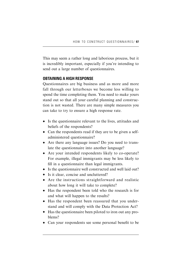This may seem a rather long and laborious process, but it is incredibly important, especially if you're intending to send out a large number of questionnaires.

# OBTAINING A HIGH RESPONSE

Questionnaires are big business and as more and more fall through our letterboxes we become less willing to spend the time completing them. You need to make yours stand out so that all your careful planning and construction is not wasted. There are many simple measures you can take to try to ensure a high response rate.

- $\bullet$  Is the questionnaire relevant to the lives, attitudes and beliefs of the respondents?
- $\bullet$  Can the respondents read if they are to be given a selfadministered questionnaire?
- $\triangle$  Are there any language issues? Do you need to translate the questionnaire into another language?
- $\triangle$  Are your intended respondents likely to co-operate? For example, illegal immigrants may be less likely to fill in a questionnaire than legal immigrants.
- $\bullet$  Is the questionnaire well constructed and well laid out?
- $\bullet$  Is it clear, concise and uncluttered?
- $\triangle$  Are the instructions straightforward and realistic about how long it will take to complete?
- $\triangle$  Has the respondent been told who the research is for and what will happen to the results?
- $\bullet$  Has the respondent been reassured that you understand and will comply with the Data Protection Act?
- $\bullet$  Has the questionnaire been piloted to iron out any problems?
- $\triangle$  Can your respondents see some personal benefit to be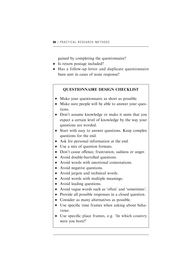gained by completing the questionnaire?

- $\triangleleft$  Is return postage included?
- $\bullet$  Has a follow-up letter and duplicate questionnaire been sent in cases of none response?

## QUESTIONNAIRE DESIGN CHECKLIST

- $\bullet$  Make your questionnaire as short as possible.
- $\bullet$  Make sure people will be able to answer your questions.
- Don't assume knowledge or make it seem that you expect a certain level of knowledge by the way your questions are worded.
- $\bullet$  Start with easy to answer questions. Keep complex questions for the end.
- $\triangleleft$  Ask for personal information at the end.
- $\bullet$  Use a mix of question formats.
- Don't cause offence, frustration, sadness or anger.
- $\leftrightarrow$  Avoid double-barrelled questions.
- $\triangle$  Avoid words with emotional connotations.
- $\leftrightarrow$  Avoid negative questions.
- $\triangleleft$  Avoid jargon and technical words.
- $\triangleleft$  Avoid words with multiple meanings.
- $\leftrightarrow$  Avoid leading questions.
- Avoid vague words such as 'often' and 'sometimes'.
- $\bullet$  Provide all possible responses in a closed question.
- $\bullet$  Consider as many alternatives as possible.
- $\bullet$  Use specific time frames when asking about behaviour.
- Use specific place frames, e.g. 'In which country were you born?'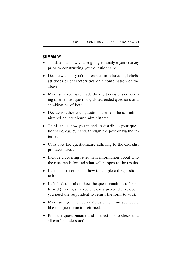## **SUMMARY**

- $\bullet$  Think about how you're going to analyse your survey prior to constructing your questionnaire.
- $\bullet$  Decide whether you're interested in behaviour, beliefs, attitudes or characteristics or a combination of the above.
- $\bullet$  Make sure you have made the right decisions concerning open-ended questions, closed-ended questions or a combination of both.
- $\bullet$  Decide whether your questionnaire is to be self-administered or interviewer administered.
- $\bullet$  Think about how you intend to distribute your questionnaire, e.g. by hand, through the post or via the internet.
- $\bullet$  Construct the questionnaire adhering to the checklist produced above.
- $\bullet$  Include a covering letter with information about who the research is for and what will happen to the results.
- $\bullet$  Include instructions on how to complete the questionnaire.
- $\bullet$  Include details about how the questionnaire is to be returned (making sure you enclose a pre-paid envelope if you need the respondent to return the form to you).
- $\bullet$  Make sure you include a date by which time you would like the questionnaire returned.
- $\bullet$  Pilot the questionnaire and instructions to check that all can be understood.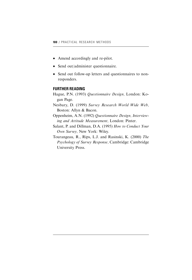- $\triangle$  Amend accordingly and re-pilot.
- $\bullet$  Send out/administer questionnaire.
- Send out follow-up letters and questionnaires to nonresponders.

#### FURTHER READING

- Hague, P.N. (1993) Questionnaire Design, London: Kogan Page.
- Nesbary, D. (1999) Survey Research World Wide Web, Boston: Allyn & Bacon.
- Oppenheim, A.N. (1992) Questionnaire Design, Interviewing and Attitude Measurement, London: Pinter.
- Salant, P. and Dillman, D.A. (1995) How to Conduct Your Own Survey, New York: Wiley.
- Tourangeau, R., Rips, L.J. and Rasinski, K. (2000) The Psychology of Survey Response, Cambridge: Cambridge University Press.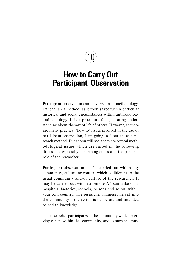

# How to Carry Out Participant Observation

Participant observation can be viewed as a methodology, rather than a method, as it took shape within particular historical and social circumstances within anthropology and sociology. It is a procedure for generating understanding about the way of life of others. However, as there are many practical 'how to' issues involved in the use of participant observation, I am going to discuss it as a research method. But as you will see, there are several methodological issues which are raised in the following discussion, especially concerning ethics and the personal role of the researcher.

Participant observation can be carried out within any community, culture or context which is different to the usual community and/or culture of the researcher. It may be carried out within a remote African tribe or in hospitals, factories, schools, prisons and so on, within your own country. The researcher immerses herself into the community – the action is deliberate and intended to add to knowledge.

The researcher participates in the community while observing others within that community, and as such she must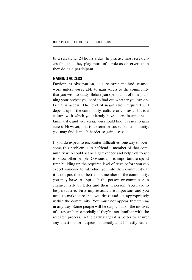be a researcher 24 hours a day. In practice most researchers find that they play more of a role as observer, than they do as a participant.

## GAINING ACCESS

Participant observation, as a research method, cannot work unless you're able to gain access to the community that you wish to study. Before you spend a lot of time planning your project you need to find out whether you can obtain this access. The level of negotiation required will depend upon the community, culture or context. If it is a culture with which you already have a certain amount of familiarity, and vice versa, you should find it easier to gain access. However, if it is a secret or suspicious community, you may find it much harder to gain access.

If you do expect to encounter difficulties, one way to overcome this problem is to befriend a member of that community who could act as a gatekeeper and help you to get to know other people. Obviously, it is important to spend time building up the required level of trust before you can expect someone to introduce you into their community. If it is not possible to befriend a member of the community, you may have to approach the person or committee in charge, firstly by letter and then in person. You have to be persuasive. First impressions are important and you need to make sure that you dress and act appropriately within the community. You must not appear threatening in any way. Some people will be suspicious of the motives of a researcher, especially if they're not familiar with the research process. In the early stages it is better to answer any questions or suspicions directly and honestly rather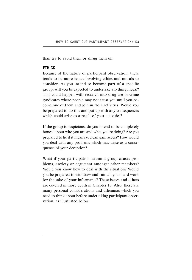than try to avoid them or shrug them off.

# **ETHICS**

Because of the nature of participant observation, there tends to be more issues involving ethics and morals to consider. As you intend to become part of a specific group, will you be expected to undertake anything illegal? This could happen with research into drug use or crime syndicates where people may not trust you until you become one of them and join in their activities. Would you be prepared to do this and put up with any consequences which could arise as a result of your activities?

If the group is suspicious, do you intend to be completely honest about who you are and what you're doing? Are you prepared to lie if it means you can gain access? How would you deal with any problems which may arise as a consequence of your deception?

What if your participation within a group causes problems, anxiety or argument amongst other members? Would you know how to deal with the situation? Would you be prepared to withdraw and ruin all your hard work for the sake of your informants? These issues and others are covered in more depth in Chapter 13. Also, there are many personal considerations and dilemmas which you need to think about before undertaking participant observation, as illustrated below: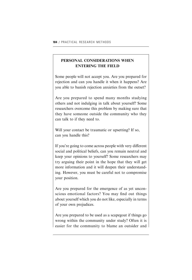# PERSONAL CONSIDERATIONS WHEN ENTERING THE FIELD

Some people will not accept you. Are you prepared for rejection and can you handle it when it happens? Are you able to banish rejection anxieties from the outset?

Are you prepared to spend many months studying others and not indulging in talk about yourself? Some researchers overcome this problem by making sure that they have someone outside the community who they can talk to if they need to.

Will your contact be traumatic or upsetting? If so, can you handle this?

If you're going to come across people with very different social and political beliefs, can you remain neutral and keep your opinions to yourself? Some researchers may try arguing their point in the hope that they will get more information and it will deepen their understanding. However, you must be careful not to compromise your position.

Are you prepared for the emergence of as yet unconscious emotional factors? You may find out things about yourself which you do not like, especially in terms of your own prejudices.

Are you prepared to be used as a scapegoat if things go wrong within the community under study? Often it is easier for the community to blame an outsider and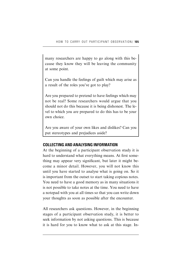many researchers are happy to go along with this because they know they will be leaving the community at some point.

Can you handle the feelings of guilt which may arise as a result of the roles you've got to play?

Are you prepared to pretend to have feelings which may not be real? Some researchers would argue that you should not do this because it is being dishonest. The level to which you are prepared to do this has to be your own choice.

Are you aware of your own likes and dislikes? Can you put stereotypes and prejudices aside?

## COLLECTING AND ANALYSING INFORMATION

At the beginning of a participant observation study it is hard to understand what everything means. At first something may appear very significant, but later it might become a minor detail. However, you will not know this until you have started to analyse what is going on. So it is important from the outset to start taking copious notes. You need to have a good memory as in many situations it is not possible to take notes at the time. You need to have a notepad with you at all times so that you can write down your thoughts as soon as possible after the encounter.

All researchers ask questions. However, in the beginning stages of a participant observation study, it is better to seek information by not asking questions. This is because it is hard for you to know what to ask at this stage. In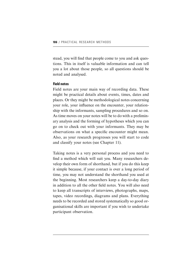stead, you will find that people come to you and ask questions. This in itself is valuable information and can tell you a lot about those people, so all questions should be noted and analysed.

## Field notes

Field notes are your main way of recording data. These might be practical details about events, times, dates and places. Or they might be methodological notes concerning your role, your influence on the encounter, your relationship with the informants, sampling procedures and so on. As time moves on your notes will be to do with a preliminary analysis and the forming of hypotheses which you can go on to check out with your informants. They may be observations on what a specific encounter might mean. Also, as your research progresses you will start to code and classify your notes (see Chapter 11).

Taking notes is a very personal process and you need to find a method which will suit you. Many researchers develop their own form of shorthand, but if you do this keep it simple because, if your contact is over a long period of time, you may not understand the shorthand you used at the beginning. Most researchers keep a day-to-day diary in addition to all the other field notes. You will also need to keep all transcripts of interviews, photographs, maps, tapes, video recordings, diagrams and plans. Everything needs to be recorded and stored systematically so good organisational skills are important if you wish to undertake participant observation.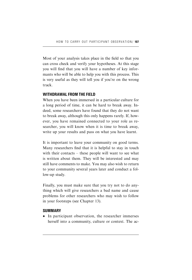Most of your analysis takes place in the field so that you can cross check and verify your hypotheses. At this stage you will find that you will have a number of key informants who will be able to help you with this process. This is very useful as they will tell you if you're on the wrong track.

# WITHDRAWAL FROM THE FIELD

When you have been immersed in a particular culture for a long period of time, it can be hard to break away. Indeed, some researchers have found that they do not want to break away, although this only happens rarely. If, however, you have remained connected to your role as researcher, you will know when it is time to break away, write up your results and pass on what you have learnt.

It is important to leave your community on good terms. Many researchers find that it is helpful to stay in touch with their contacts – these people will want to see what is written about them. They will be interested and may still have comments to make. You may also wish to return to your community several years later and conduct a follow-up study.

Finally, you must make sure that you try not to do anything which will give researchers a bad name and cause problems for other researchers who may wish to follow in your footsteps (see Chapter 13).

## SUMMARY

 $\bullet$  In participant observation, the researcher immerses herself into a community, culture or context. The ac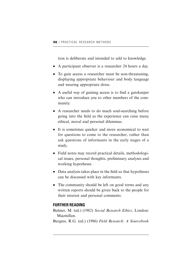tion is deliberate and intended to add to knowledge.

- $\triangle$  A participant observer is a researcher 24 hours a day.
- $\bullet$  To gain access a researcher must be non-threatening, displaying appropriate behaviour and body language and wearing appropriate dress.
- $\bullet$  A useful way of gaining access is to find a gatekeeper who can introduce you to other members of the community.
- $\bullet$  A researcher needs to do much soul-searching before going into the field as the experience can raise many ethical, moral and personal dilemmas.
- $\bullet$  It is sometimes quicker and more economical to wait for questions to come to the researcher, rather than ask questions of informants in the early stages of a study.
- $\bullet$  Field notes may record practical details, methodological issues, personal thoughts, preliminary analyses and working hypotheses.
- $\bullet$  Data analysis takes place in the field so that hypotheses can be discussed with key informants.
- $\bullet$  The community should be left on good terms and any written reports should be given back to the people for their interest and personal comments.

## FURTHER READING

Bulmer, M. (ed.) (1982) Social Research Ethics, London: Macmillan.

Burgess, R.G. (ed.) (1986) Field Research: A Sourcebook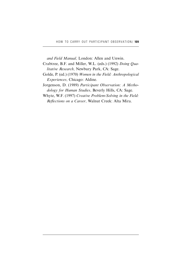and Field Manual, London: Allen and Unwin.

- Crabtree, B.F. and Miller, W.L. (eds.) (1992) Doing Qualitative Research, Newbury Park, CA: Sage.
- Golde, P. (ed.) (1970) Women in the Field: Anthropological Experiences, Chicago: Aldine.
- Jorgenson, D. (1989) Participant Observation: A Methodology for Human Studies, Beverly Hills, CA: Sage.
- Whyte, W.F. (1997) Creative Problem-Solving in the Field: Reflections on a Career, Walnut Creek: Alta Mira.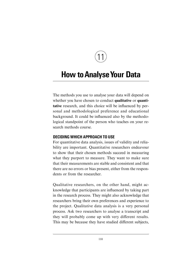11

# How toAnalyseYour Data

The methods you use to analyse your data will depend on whether you have chosen to conduct qualitative or quantitative research, and this choice will be influenced by personal and methodological preference and educational background. It could be influenced also by the methodological standpoint of the person who teaches on your research methods course.

# DECIDING WHICH APPROACH TO USE

For quantitative data analysis, issues of validity and reliability are important. Quantitative researchers endeavour to show that their chosen methods succeed in measuring what they purport to measure. They want to make sure that their measurements are stable and consistent and that there are no errors or bias present, either from the respondents or from the researcher.

Qualitative researchers, on the other hand, might acknowledge that participants are influenced by taking part in the research process. They might also acknowledge that researchers bring their own preferences and experience to the project. Qualitative data analysis is a very personal process. Ask two researchers to analyse a transcript and they will probably come up with very different results. This may be because they have studied different subjects,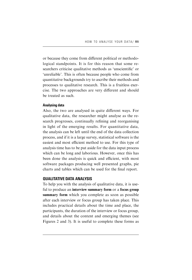or because they come from different political or methodological standpoints. It is for this reason that some researchers criticise qualitative methods as 'unscientific' or 'unreliable'. This is often because people who come from quantitative backgrounds try to ascribe their methods and processes to qualitative research. This is a fruitless exercise. The two approaches are very different and should be treated as such.

## Analysing data

Also, the two are analysed in quite different ways. For qualitative data, the researcher might analyse as the research progresses, continually refining and reorganising in light of the emerging results. For quantitative data, the analysis can be left until the end of the data collection process, and if it is a large survey, statistical software is the easiest and most efficient method to use. For this type of analysis time has to be put aside for the data input process which can be long and laborious. However, once this has been done the analysis is quick and efficient, with most software packages producing well presented graphs, pie charts and tables which can be used for the final report.

## QUALITATIVE DATA ANALYSIS

To help you with the analysis of qualitative data, it is useful to produce an interview summary form or a focus group summary form which you complete as soon as possible after each interview or focus group has taken place. This includes practical details about the time and place, the participants, the duration of the interview or focus group, and details about the content and emerging themes (see Figures 2 and 3). It is useful to complete these forms as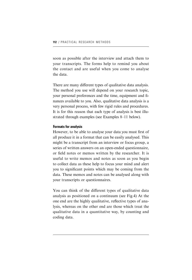soon as possible after the interview and attach them to your transcripts. The forms help to remind you about the contact and are useful when you come to analyse the data.

There are many different types of qualitative data analysis. The method you use will depend on your research topic, your personal preferences and the time, equipment and finances available to you. Also, qualitative data analysis is a very personal process, with few rigid rules and procedures. It is for this reason that each type of analysis is best illustrated through examples (see Examples 8–11 below).

#### Formats for analysis

However, to be able to analyse your data you must first of all produce it in a format that can be easily analysed. This might be a transcript from an interview or focus group, a series of written answers on an open-ended questionnaire, or field notes or memos written by the researcher. It is useful to write memos and notes as soon as you begin to collect data as these help to focus your mind and alert you to significant points which may be coming from the data. These memos and notes can be analysed along with your transcripts or questionnaires.

You can think of the different types of qualitative data analysis as positioned on a continuum (see Fig.4) At the one end are the highly qualitative, reflective types of analysis, whereas on the other end are those which treat the qualitative data in a quantitative way, by counting and coding data.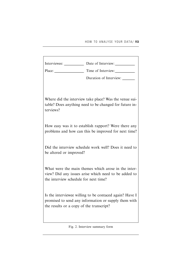| Interviewee:<br>Place:<br>L.                                                                                                                                | Date of Interview:<br>Time of Interview:<br>Duration of Interview: |  |
|-------------------------------------------------------------------------------------------------------------------------------------------------------------|--------------------------------------------------------------------|--|
| Where did the interview take place? Was the venue sui-<br>table? Does anything need to be changed for future in-<br>terviews?                               |                                                                    |  |
| How easy was it to establish rapport? Were there any<br>problems and how can this be improved for next time?                                                |                                                                    |  |
| Did the interview schedule work well? Does it need to<br>be altered or improved?                                                                            |                                                                    |  |
| What were the main themes which arose in the inter-<br>view? Did any issues arise which need to be added to<br>the interview schedule for next time?        |                                                                    |  |
| Is the interviewee willing to be contaced again? Have I<br>promised to send any information or supply them with<br>the results or a copy of the transcript? |                                                                    |  |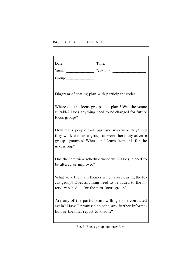| Diagram of seating plan with participant codes:                                                                                                                              |  |  |
|------------------------------------------------------------------------------------------------------------------------------------------------------------------------------|--|--|
| Where did the focus group take place? Was the venue<br>suitable? Does anything need to be changed for future<br>focus groups?                                                |  |  |
| How many people took part and who were they? Did<br>they work well as a group or were there any adverse<br>group dynamics? What can I learn from this for the<br>next group? |  |  |
| Did the interview schedule work well? Does it need to<br>be altered or improved?                                                                                             |  |  |
| What were the main themes which arose during the fo-<br>cus group? Does anything need to be added to the in-<br>terview schedule for the next focus group?                   |  |  |
| Are any of the participants willing to be contacted<br>again? Have I promised to send any further informa-<br>tion or the final report to anyone?                            |  |  |
| Fig. 3: Focus group summary form                                                                                                                                             |  |  |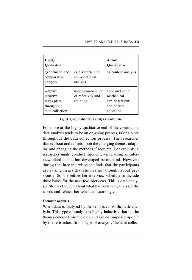| <b>Highly</b><br><b>Qualitative</b>                                    |                                                      | <b>Almost</b><br><b>Ouantitative</b>                                           |
|------------------------------------------------------------------------|------------------------------------------------------|--------------------------------------------------------------------------------|
| eg thematic and<br>comparative<br>analysis                             | eg discourse and<br>conversational<br>analysis       | eg content analysis                                                            |
| reflexive<br>intuitive<br>takes place<br>throughout<br>data collection | uses a combination<br>of reflexivity and<br>counting | code and count<br>mechanical<br>can be left until<br>end of data<br>collection |

Fig. 4. Qualititative data analysis continuum

For those at the highly qualitative end of the continuum, data analysis tends to be an on-going process, taking place throughout the data collection process. The researcher thinks about and reflects upon the emerging themes, adapting and changing the methods if required. For example, a researcher might conduct three interviews using an interview schedule she has developed beforehand. However, during the three interviews she finds that the participants are raising issues that she has not thought about previously. So she refines her interview schedule to include these issues for the next few interviews. This is data analysis. She has thought about what has been said, analysed the words and refined her schedule accordingly.

### Thematic analysis

When data is analysed by theme, it is called **thematic ana**lysis. This type of analysis is highly inductive, that is, the themes emerge from the data and are not imposed upon it by the researcher. In this type of analysis, the data collec-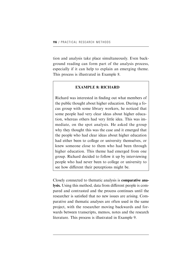tion and analysis take place simultaneously. Even background reading can form part of the analysis process, especially if it can help to explain an emerging theme. This process is illustrated in Example 8.

## EXAMPLE 8: RICHARD

Richard was interested in finding out what members of the public thought about higher education. During a focus group with some library workers, he noticed that some people had very clear ideas about higher education, whereas others had very little idea. This was immediate, on the spot analysis. He asked the group why they thought this was the case and it emerged that the people who had clear ideas about higher education had either been to college or university themselves, or knew someone close to them who had been through higher education. This theme had emerged from one group. Richard decided to follow it up by interviewing people who had never been to college or university to see how different their perceptions might be.

Closely connected to thematic analysis is comparative analysis. Using this method, data from different people is compared and contrasted and the process continues until the researcher is satisfied that no new issues are arising. Comparative and thematic analyses are often used in the same project, with the researcher moving backwards and forwards between transcripts, memos, notes and the research literature. This process is illustrated in Example 9.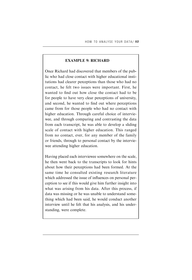## EXAMPLE 9: RICHARD

Once Richard had discovered that members of the public who had close contact with higher educational institutions had clearer perceptions than those who had no contact, he felt two issues were important. First, he wanted to find out how close the contact had to be for people to have very clear perceptions of university, and second, he wanted to find out where perceptions came from for those people who had no contact with higher education. Through careful choice of interviewee, and through comparing and contrasting the data from each transcript, he was able to develop a sliding scale of contact with higher education. This ranged from no contact, ever, for any member of the family or friends, through to personal contact by the interviewee attending higher education.

Having placed each interviewee somewhere on the scale, he then went back to the transcripts to look for hints about how their perceptions had been formed. At the same time he consulted existing research literature which addressed the issue of influences on personal perception to see if this would give him further insight into what was arising from his data. After this process, if data was missing or he was unable to understand something which had been said, he would conduct another interview until he felt that his analysis, and his understanding, were complete.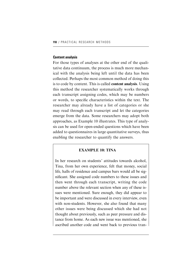#### Content analysis

For those types of analyses at the other end of the qualitative data continuum, the process is much more mechanical with the analysis being left until the data has been collected. Perhaps the most common method of doing this is to code by content. This is called content analysis. Using this method the researcher systematically works through each transcript assigning codes, which may be numbers or words, to specific characteristics within the text. The researcher may already have a list of categories or she may read through each transcript and let the categories emerge from the data. Some researchers may adopt both approaches, as Example 10 illustrates. This type of analysis can be used for open-ended questions which have been added to questionnaires in large quantitative surveys, thus enabling the researcher to quantify the answers.

#### EXAMPLE 10: TINA

In her research on students' attitudes towards alcohol, Tina, from her own experience, felt that money, social life, halls of residence and campus bars would all be significant. She assigned code numbers to these issues and then went through each transcript, writing the code number above the relevant section when any of these issues were mentioned. Sure enough, they did appear to be important and were discussed in every interview, even with non-students. However, she also found that many other issues were being discussed which she had not thought about previously, such as peer pressure and distance from home. As each new issue was mentioned, she ascribed another code and went back to previous tran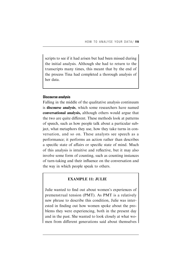scripts to see if it had arisen but had been missed during the initial analysis. Although she had to return to the transcripts many times, this meant that by the end of the process Tina had completed a thorough analysis of her data.

#### Discourse analysis

Falling in the middle of the qualitative analysis continuum is discourse analysis, which some researchers have named conversational analysis, although others would argue that the two are quite different. These methods look at patterns of speech, such as how people talk about a particular subject, what metaphors they use, how they take turns in conversation, and so on. These analysts see speech as a performance; it performs an action rather than describes a specific state of affairs or specific state of mind. Much of this analysis is intuitive and reflective, but it may also involve some form of counting, such as counting instances of turn-taking and their influence on the conversation and the way in which people speak to others.

### EXAMPLE 11: JULIE

Julie wanted to find out about women's experiences of premenstrual tension (PMT). As PMT is a relatively new phrase to describe this condition, Julie was interested in finding out how women spoke about the problems they were experiencing, both in the present day and in the past. She wanted to look closely at what women from different generations said about themselves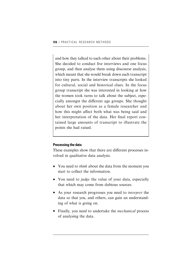and how they talked to each other about their problems. She decided to conduct five interviews and one focus group, and then analyse them using discourse analysis, which meant that she would break down each transcript into tiny parts. In the interview transcripts she looked for cultural, social and historical clues. In the focus group transcript she was interested in looking at how the women took turns to talk about the subject, especially amongst the different age groups. She thought about her own position as a female researcher and how this might affect both what was being said and her interpretation of the data. Her final report contained large amounts of transcript to illustrate the points she had raised.

### Processing the data

These examples show that there are different processes involved in qualitative data analysis.

- $\blacklozenge$  You need to *think* about the data from the moment you start to collect the information.
- $\rightarrow$  You need to *judge* the value of your data, especially that which may come from dubious sources.
- As your research progresses you need to *interpret* the data so that you, and others, can gain an understanding of what is going on.
- $\bullet$  Finally, you need to undertake the *mechanical* process of analysing the data.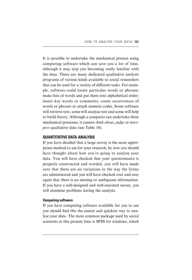It is possible to undertake the mechanical process using computing software which can save you a lot of time, although it may stop you becoming really familiar with the data. There are many dedicated qualitative analysis programs of various kinds available to social researchers that can be used for a variety of different tasks. For example, software could locate particular words or phrases; make lists of words and put them into alphabetical order; insert key words or comments; count occurrences of words or phrases or attach numeric codes. Some software will retrieve text, some will analyse text and some will help to build theory. Although a computer can undertake these mechanical processes, it cannot think about, judge or interpret qualitative data (see Table 10).

## QUANTITATIVE DATA ANALYSIS

If you have decided that a large survey is the most appropriate method to use for your research, by now you should have thought about how you're going to analyse your data. You will have checked that your questionnaire is properly constructed and worded, you will have made sure that there are no variations in the way the forms are administered and you will have checked over and over again that there is no missing or ambiguous information. If you have a well-designed and well-executed survey, you will minimise problems during the analysis.

### Computing software

If you have computing software available for you to use you should find this the easiest and quickest way to analyse your data. The most common package used by social scientists at this present time is SPSS for windows, which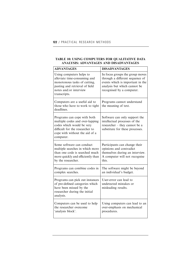#### TABLE 10: USING COMPUTERS FOR QUALITATIVE DATA ANALYSIS: ADVANTAGES AND DISADVANTAGES

| <b>ADVANTAGES</b>                                                                                                                                                             | <b>DISADVANTAGES</b>                                                                                                                                                |
|-------------------------------------------------------------------------------------------------------------------------------------------------------------------------------|---------------------------------------------------------------------------------------------------------------------------------------------------------------------|
| Using computers helps to<br>alleviate time-consuming and<br>monotonous tasks of cutting,<br>pasting and retrieval of field<br>notes and/or interview<br>transcripts.          | In focus groups the group moves<br>through a different sequence of<br>events which is important in the<br>analysis but which cannot be<br>recognised by a computer. |
| Computers are a useful aid to<br>those who have to work to tight<br>deadlines.                                                                                                | Programs cannot understand<br>the meaning of text.                                                                                                                  |
| Programs can cope with both<br>multiple codes and over-lapping<br>codes which would be very<br>difficult for the researcher to<br>cope with without the aid of a<br>computer. | Software can only support the<br>intellectual processes of the<br>researcher - they cannot be a<br>substitute for these processes.                                  |
| Some software can conduct<br>multiple searches in which more<br>than one code is searched much<br>more quickly and efficiently than<br>by the researcher.                     | Participants can change their<br>opinions and contradict<br>themselves during an interview.<br>A computer will not recognise<br>this.                               |
| Programs can combine codes in<br>complex searches.                                                                                                                            | The software might be beyond<br>an individual's budget.                                                                                                             |
| Programs can pick out instances<br>of pre-defined categories which<br>have been missed by the<br>researcher during the initial<br>analysis.                                   | User-error can lead to<br>undetected mistakes or<br>misleading results.                                                                                             |
| Computers can be used to help<br>the researcher overcome<br>'analysis block'.                                                                                                 | Using computers can lead to an<br>over-emphasis on mechanical<br>procedures.                                                                                        |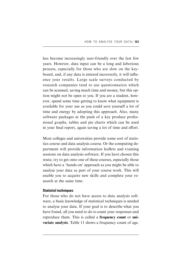has become increasingly user-friendly over the last few years. However, data input can be a long and laborious process, especially for those who are slow on the keyboard, and, if any data is entered incorrectly, it will influence your results. Large scale surveys conducted by research companies tend to use questionnaires which can be scanned, saving much time and money, but this option might not be open to you. If you are a student, however, spend some time getting to know what equipment is available for your use as you could save yourself a lot of time and energy by adopting this approach. Also, many software packages at the push of a key produce professional graphs, tables and pie charts which can be used in your final report, again saving a lot of time and effort.

Most colleges and universities provide some sort of statistics course and data analysis course. Or the computing department will provide information leaflets and training sessions on data analysis software. If you have chosen this route, try to get onto one of these courses, especially those which have a 'hands-on' approach as you might be able to analyse your data as part of your course work. This will enable you to acquire new skills and complete your research at the same time.

#### Statisticl techniques

For those who do not have access to data analysis software, a basic knowledge of statistical techniques is needed to analyse your data. If your goal is to describe what you have found, all you need to do is count your responses and reproduce them. This is called a frequency count or univariate analysis. Table 11 shows a frequency count of age.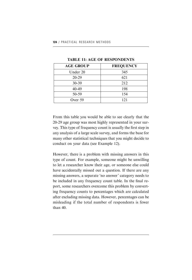| <b>AGE GROUP</b> | <b>FREQUENCY</b> |
|------------------|------------------|
| Under 20         | 345              |
| $20 - 29$        | 621              |
| $30 - 39$        | 212              |
| 40-49            | 198              |
| 50-59            | 154              |
| Over 59          | 121              |

TABLE 11: AGE OF RESPONDENTS

From this table you would be able to see clearly that the 20-29 age group was most highly represented in your survey. This type of frequency count is usually the first step in any analysis of a large scale survey, and forms the base for many other statistical techniques that you might decide to conduct on your data (see Example 12).

However, there is a problem with missing answers in this type of count. For example, someone might be unwilling to let a researcher know their age, or someone else could have accidentally missed out a question. If there are any missing answers, a separate 'no answer' category needs to be included in any frequency count table. In the final report, some researchers overcome this problem by converting frequency counts to percentages which are calculated after excluding missing data. However, percentages can be misleading if the total number of respondents is fewer than 40.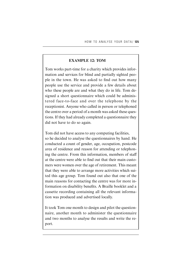## EXAMPLE 12: TOM

Tom works part-time for a charity which provides information and services for blind and partially sighted people in the town. He was asked to find out how many people use the service and provide a few details about who these people are and what they do in life. Tom designed a short questionnaire which could be administered face-to-face and over the telephone by the receptionist. Anyone who called in person or telephoned the centre over a period of a month was asked these questions. If they had already completed a questionnaire they did not have to do so again.

Tom did not have access to any computing facilities, so he decided to analyse the questionnaires by hand. He conducted a count of gender, age, occupation, postcode area of residence and reason for attending or telephoning the centre. From this information, members of staff at the centre were able to find out that their main customers were women over the age of retirement. This meant that they were able to arrange more activities which suited this age group. Tom found out also that one of the main reasons for contacting the centre was for more information on disability benefits. A Braille booklet and a cassette recording containing all the relevant information was produced and advertised locally.

It took Tom one month to design and pilot the questionnaire, another month to administer the questionnaire and two months to analyse the results and write the report.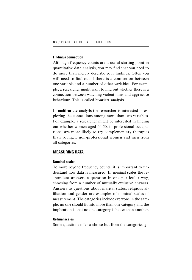## Finding a connection

Although frequency counts are a useful starting point in quantitative data analysis, you may find that you need to do more than merely describe your findings. Often you will need to find out if there is a connection between one variable and a number of other variables. For example, a researcher might want to find out whether there is a connection between watching violent films and aggressive behaviour. This is called bivariate analysis.

In multivariate analysis the researcher is interested in exploring the connections among more than two variables. For example, a researcher might be interested in finding out whether women aged 40-50, in professional occupations, are more likely to try complementary therapies than younger, non-professional women and men from all categories.

## MEASURING DATA

## Nominal scales

To move beyond frequency counts, it is important to understand how data is measured. In nominal scales the respondent answers a question in one particular way, choosing from a number of mutually exclusive answers. Answers to questions about marital status, religious affiliation and gender are examples of nominal scales of measurement. The categories include everyone in the sample, no one should fit into more than one category and the implication is that no one category is better than another.

## Ordinal scales

Some questions offer a choice but from the categories gi-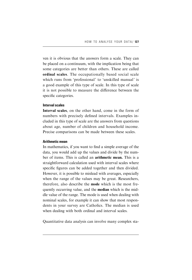ven it is obvious that the answers form a scale. They can be placed on a continuum, with the implication being that some categories are better than others. These are called ordinal scales. The occupationally based social scale which runs from 'professional' to 'unskilled manual' is a good example of this type of scale. In this type of scale it is not possible to measure the difference between the specific categories.

## Interval scales

Interval scales, on the other hand, come in the form of numbers with precisely defined intervals. Examples included in this type of scale are the answers from questions about age, number of children and household income. Precise comparisons can be made between these scales.

### Arithmetic mean

In mathematics, if you want to find a simple average of the data, you would add up the values and divide by the number of items. This is called an arithmetic mean. This is a straightforward calculation used with interval scales where specific figures can be added together and then divided. However, it is possible to mislead with averages, especially when the range of the values may be great. Researchers, therefore, also describe the mode which is the most frequently occurring value, and the median which is the middle value of the range. The mode is used when dealing with nominal scales, for example it can show that most respondents in your survey are Catholics. The median is used when dealing with both ordinal and interval scales.

Quantitative data analysis can involve many complex sta-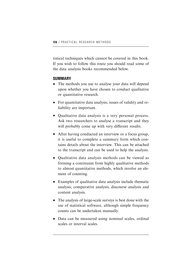tistical techniques which cannot be covered in this book. If you wish to follow this route you should read some of the data analysis books recommended below.

## SUMMARY

- $\bullet$  The methods you use to analyse your data will depend upon whether you have chosen to conduct qualitative or quantitative research.
- $\bullet$  For quantitative data analysis, issues of validity and reliability are important.
- $\bullet$  Qualitative data analysis is a very personal process. Ask two researchers to analyse a transcript and they will probably come up with very different results.
- $\triangle$  After having conducted an interview or a focus group, it is useful to complete a summary form which contains details about the interview. This can be attached to the transcript and can be used to help the analysis.
- Qualitative data analysis methods can be viewed as forming a continuum from highly qualitative methods to almost quantitative methods, which involve an element of counting.
- $\bullet$  Examples of qualitative data analysis include thematic analysis, comparative analysis, discourse analysis and content analysis.
- $\bullet$  The analysis of large-scale surveys is best done with the use of statistical software, although simple frequency counts can be undertaken manually.
- $\bullet$  Data can be measured using nominal scales, ordinal scales or interval scales.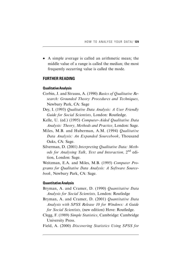$\bullet$  A simple average is called an arithmetic mean; the middle value of a range is called the median; the most frequently occurring value is called the mode.

#### FURTHER READING

#### QualitativeAnalysis

- Corbin, J. and Strauss, A. (1990) Basics of Qualitative Research: Grounded Theory Procedures and Techniques, Newbury Park, CA: Sage
- Dey, I. (1993) Qualitative Data Analysis: A User Friendly Guide for Social Scientists, London: Routledge.
- Kelle, U. (ed.) (1995) Computer-Aided Qualitative Data Analysis: Theory, Methods and Practice, London: Sage.
- Miles, M.B. and Huberman, A.M. (1994) Qualitative Data Analysis: An Expanded Sourcebook, Thousand Oaks, CA: Sage.
- Silverman, D. (2001) Interpreting Qualitative Data: Methods for Analysing Talk, Text and Interaction, 2<sup>nd</sup> edition, London: Sage.

Weitzman, E.A. and Miles, M.B. (1995) Computer Programs for Qualitative Data Analysis: A Software Sourcebook, Newbury Park, CA: Sage.

#### QuantitativeAnalysis

- Bryman, A. and Cramer, D. (1990) Quantitative Data Analysis for Social Scientists, London: Routledge
- Bryman, A. and Cramer, D. (2001) Quantitative Data Analysis with SPSS Release 10 for Windows: A Guide for Social Scientists, (new edition) Hove: Routledge.
- Clegg, F. (1989) Simple Statistics, Cambridge: Cambridge University Press.
- Field, A. (2000) Discovering Statistics Using SPSS for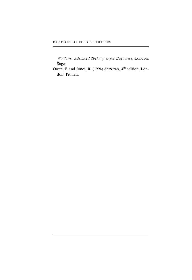Windows: Advanced Techniques for Beginners, London: Sage.

Owen, F. and Jones, R. (1994) Statistics, 4<sup>th</sup> edition, London: Pitman.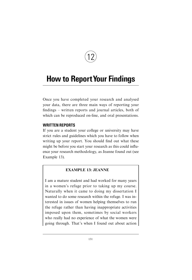

# How to ReportYour Findings

Once you have completed your research and analysed your data, there are three main ways of reporting your findings – written reports and journal articles, both of which can be reproduced on-line, and oral presentations.

# WRITTEN REPORTS

If you are a student your college or university may have strict rules and guidelines which you have to follow when writing up your report. You should find out what these might be before you start your research as this could influence your research methodology, as Jeanne found out (see Example 13).

## EXAMPLE 13: JEANNE

I am a mature student and had worked for many years in a women's refuge prior to taking up my course. Naturally when it came to doing my dissertation I wanted to do some research within the refuge. I was interested in issues of women helping themselves to run the refuge rather than having inappropriate activities imposed upon them, sometimes by social workers who really had no experience of what the women were going through. That's when I found out about action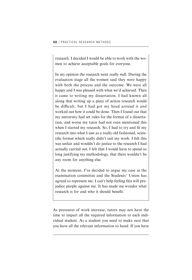research. I decided I would be able to work with the women to achieve acceptable goals for everyone.

In my opinion the research went really well. During the evaluation stage all the women said they were happy with both the process and the outcome. We were all happy and I was pleased with what we'd achieved. Then it came to writing my dissertation. I had known all along that writing up a piece of action research would be difficult, but I had got my head around it and worked out how it could be done. Then I found out that my university had set rules for the format of a dissertation, and worse my tutor had not even mentioned this when I started my research. So, I had to try and fit my research into what I saw as a really old fashioned, scientific format which really didn't suit my work. I felt this was unfair and wouldn't do justice to the research I had actually carried out. I felt that I would have to spend so long justifying my methodology, that there wouldn't be any room for anything else.

At the moment, I've decided to argue my case at the examination committee and the Students' Union has agreed to represent me. I can't help feeling this will prejudice people against me. It has made me wonder what research is for and who it should benefit.

As pressures of work increase, tutors may not have the time to impart all the required information to each individual student. As a student you need to make sure that you have all the relevant information to hand. If you have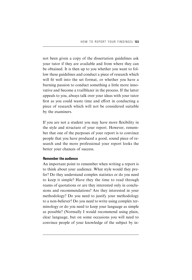not been given a copy of the dissertation guidelines ask your tutor if they are available and from where they can be obtained. It is then up to you whether you want to follow these guidelines and conduct a piece of research which will fit well into the set format, or whether you have a burning passion to conduct something a little more innovative and become a trailblazer in the process. If the latter appeals to you, always talk over your ideas with your tutor first as you could waste time and effort in conducting a piece of research which will not be considered suitable by the examiners.

If you are not a student you may have more flexibility in the style and structure of your report. However, remember that one of the purposes of your report is to convince people that you have produced a good, sound piece of research and the more professional your report looks the better your chances of success.

### Remember the audience

An important point to remember when writing a report is to think about your audience. What style would they prefer? Do they understand complex statistics or do you need to keep it simple? Have they the time to read through reams of quotations or are they interested only in conclusions and recommendations? Are they interested in your methodology? Do you need to justify your methodology to a non-believer? Do you need to write using complex terminology or do you need to keep your language as simple as possible? (Normally I would recommend using plain, clear language, but on some occasions you will need to convince people of your knowledge of the subject by in-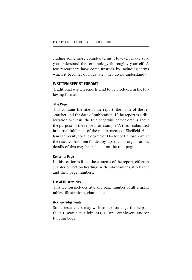cluding some more complex terms. However, make sure you understand the terminology thoroughly yourself. A few researchers have come unstuck by including terms which it becomes obvious later they do no understand).

# WRITTEN REPORT FORMAT

Traditional written reports tend to be produced in the following format.

## **Title Page**

This contains the title of the report, the name of the researcher and the date of publication. If the report is a dissertation or thesis, the title page will include details about the purpose of the report, for example 'A thesis submitted in partial fulfilment of the requirements of Sheffield Hallam University for the degree of Doctor of Philosophy'. If the research has been funded by a particular organisation, details of this may be included on the title page.

## Contents Page

In this section is listed the contents of the report, either in chapter or section headings with sub-headings, if relevant and their page numbers.

#### List of Illustrations

This section includes title and page number of all graphs, tables, illustrations, charts, etc.

#### Acknowledgements

Some researchers may wish to acknowledge the help of their research participants, tutors, employers and/or funding body.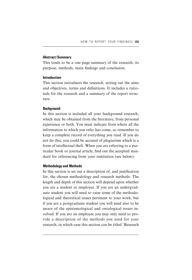### Abstract/Summary

This tends to be a one page summary of the research, its purpose, methods, main findings and conclusion.

## **Introduction**

This section introduces the research, setting out the aims and objectives, terms and definitions. It includes a rationale for the research and a summary of the report structure.

## **Background**

In this section is included all your background research, which may be obtained from the literature, from personal experience or both. You must indicate from where all the information to which you refer has come, so remember to keep a complete record of everything you read. If you do not do this, you could be accused of plagiarism which is a form of intellectual theft. When you are referring to a particular book or journal article, find out the accepted standard for referencing from your institution (see below).

#### Methodology and Methods

In this section is set out a description of, and justification for, the chosen methodology and research methods. The length and depth of this section will depend upon whether you are a student or employee. If you are an undergraduate student you will need to raise some of the methodological and theoretical issues pertinent to your work, but if you are a postgraduate student you will need also to be aware of the epistemological and ontological issues involved. If you are an employee you may only need to provide a description of the methods you used for your research, in which case this section can be titled 'Research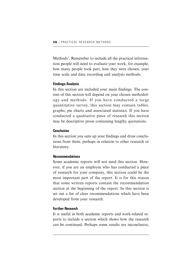Methods'. Remember to include all the practical information people will need to evaluate your work, for example, how many people took part, how they were chosen, your time scale and data recording and analysis methods.

## Findings/Analysis

In this section are included your main findings. The content of this section will depend on your chosen methodology and methods. If you have conducted a large quantitative survey, this section may contain tables, graphs, pie charts and associated statistics. If you have conducted a qualitative piece of research this section may be descriptive prose containing lengthy quotations.

## Conclusion

In this section you sum up your findings and draw conclusions from them, perhaps in relation to other research or literature.

## Recommendations

Some academic reports will not need this section. However, if you are an employee who has conducted a piece of research for your company, this section could be the most important part of the report. It is for this reason that some written reports contain the recommendation section at the beginning of the report. In this section is set out a list of clear recommendations which have been developed from your research.

#### Further Research

It is useful in both academic reports and work-related reports to include a section which shows how the research can be continued. Perhaps some results are inconclusive,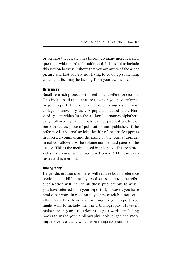or perhaps the research has thrown up many more research questions which need to be addressed. It is useful to include this section because it shows that you are aware of the wider picture and that you are not trying to cover up something which you feel may be lacking from your own work.

#### **References**

Small research projects will need only a reference section. This includes all the literature to which you have referred in your report. Find out which referencing system your college or university uses. A popular method is the Harvard system which lists the authors' surnames alphabetically, followed by their initials, date of publication, title of book in italics, place of publication and publisher. If the reference is a journal article, the title of the article appears in inverted commas and the name of the journal appears in italics, followed by the volume number and pages of the article. This is the method used in this book. Figure 5 provides a section of a bibliography from a PhD thesis to illustrate this method.

#### Bibliography

Larger dissertations or theses will require both a reference section and a bibliography. As discussed above, the reference section will include all those publications to which you have referred to in your report. If, however, you have read other work in relation to your research but not actually referred to them when writing up your report, you might wish to include them in a bibliography. However, make sure they are still relevant to your work – including books to make your bibliography look longer and more impressive is a tactic which won't impress examiners.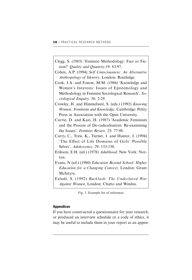- Clegg, S. (1985) 'Feminist Methodology: Fact or Fiction?' *Quality and Quantity*, 19: 83-97.
- Cohen, A.P. (1994) Self Consciousness: An Alternative Anthropology of Identity, London: Routledge.
- Cook, J.A. and Fonow, M.M. (1986) 'Knowledge and Women's Interests: Issues of Epistemology and Methodology in Feminist Sociological Research', Sociological Enquiry, 56: 2-29.
- Crowley, H. and Himmelweit, S. (eds.) (1992) Knowing Women: Feminism and Knowledge, Cambridge: Polity Press in Association with the Open University.
- Currie, D. and Kazi, H. (1987) 'Academic Feminism and the Process of De-radicalisation: Re-examining the Issues', Feminist Review, 25: 77-98.
- Curry, C., Trew, K., Turner, I. and Hunter, J. (1994) 'The Effect of Life Domains of Girls' Possible Selves', Adolescence, 29: 133-150.
- Erikson, E.H. (ed.) (1978) Adulthood, New York: Norton.
- Evans, N (ed.) (1980) Education Beyond School: Higher Education for a Changing Context, London: Grant McIntyre.
- Faludi, S. (1992) Backlash: The Undeclared War Against Women, London: Chatto and Windus.

Fig. 5. Example list of references

#### Appendices

If you have constructed a questionnaire for your research, or produced an interview schedule or a code of ethics, it may be useful to include them in your report as an appen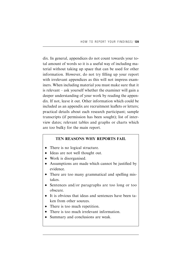dix. In general, appendices do not count towards your total amount of words so it is a useful way of including material without taking up space that can be used for other information. However, do not try filling up your report with irrelevant appendices as this will not impress examiners. When including material you must make sure that it is relevant – ask yourself whether the examiner will gain a deeper understanding of your work by reading the appendix. If not, leave it out. Other information which could be included as an appendix are recruitment leaflets or letters; practical details about each research participant; sample transcripts (if permission has been sought); list of interview dates; relevant tables and graphs or charts which are too bulky for the main report.

# TEN REASONS WHY REPORTS FAIL

- $\bullet$  There is no logical structure.
- $\bullet$  Ideas are not well thought out.
- Work is disorganised.
- Assumptions are made which cannot be justified by evidence.
- There are too many grammatical and spelling mistakes.
- $\bullet$  Sentences and/or paragraphs are too long or too obscure.
- It is obvious that ideas and sentences have been taken from other sources.
- $\bullet$  There is too much repetition.
- $\bullet$  There is too much irrelevant information.
- Summary and conclusions are weak.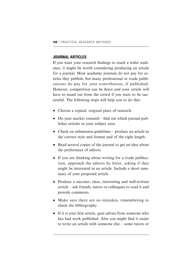# JOURNAL ARTICLES

If you want your research findings to reach a wider audience, it might be worth considering producing an article for a journal. Most academic journals do not pay for articles they publish, but many professional or trade publications do pay for your contribution, if published. However, competition can be fierce and your article will have to stand out from the crowd if you want to be successful. The following steps will help you to do this:

- $\bullet$  Choose a topical, original piece of research.
- $\bullet$  Do your market research find out which journal publishes articles in your subject area.
- $\bullet$  Check on submission guidelines produce an article in the correct style and format and of the right length.
- $\triangle$  Read several copies of the journal to get an idea about the preferences of editors.
- $\bullet$  If you are thinking about writing for a trade publication, approach the editors by letter, asking if they might be interested in an article. Include a short summary of your proposed article.
- $\bullet$  Produce a succinct, clear, interesting and well-written article – ask friends, tutors or colleagues to read it and provide comments.
- $\bullet$  Make sure there are no mistakes, remembering to check the bibliography.
- $\bullet$  If it is your first article, gain advice from someone who has had work published. Also you might find it easier to write an article with someone else – some tutors or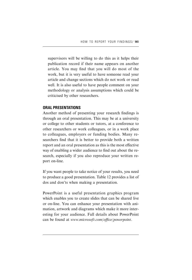supervisors will be willing to do this as it helps their publication record if their name appears on another article. You may find that you will do most of the work, but it is very useful to have someone read your article and change sections which do not work or read well. It is also useful to have people comment on your methodology or analysis assumptions which could be criticised by other researchers.

# ORAL PRESENTATIONS

Another method of presenting your research findings is through an oral presentation. This may be at a university or college to other students or tutors, at a conference to other researchers or work colleagues, or in a work place to colleagues, employers or funding bodies. Many researchers find that it is better to provide both a written report and an oral presentation as this is the most effective way of enabling a wider audience to find out about the research, especially if you also reproduce your written report on-line.

If you want people to take notice of your results, you need to produce a good presentation. Table 12 provides a list of dos and don'ts when making a presentation.

PowerPoint is a useful presentation graphics program which enables you to create slides that can be shared live or on-line. You can enhance your presentation with animation, artwork and diagrams which make it more interesting for your audience. Full details about PowerPoint can be found at www.microsoft.com/office/powerpoint.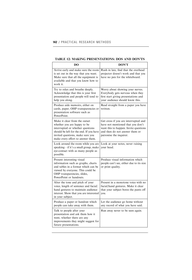| DO                                                                                                                                                                                                                   | <b>DON'T</b>                                                                                                                                                                    |
|----------------------------------------------------------------------------------------------------------------------------------------------------------------------------------------------------------------------|---------------------------------------------------------------------------------------------------------------------------------------------------------------------------------|
| Arrive early and make sure the room<br>is set out in the way that you want.<br>Make sure that all the equipment is<br>available and that you know how to<br>work it.                                                 | Rush in late, find that the overhead<br>projector doesn't work and that you<br>have no pen for the whiteboard.                                                                  |
| Try to relax and breathe deeply.<br>Acknowledge that this is your first<br>presentation and people will tend to<br>help you along.                                                                                   | Worry about showing your nerves.<br>Everybody gets nervous when they<br>first start giving presentations and<br>your audience should know this.                                 |
| Produce aide memoirs, either on<br>cards, paper, OHP transparencies or<br>presentation software such as<br>PowerPoint.                                                                                               | Read straight from a paper you have<br>written.                                                                                                                                 |
| Make it clear from the outset<br>whether you are happy to be<br>interrupted or whether questions<br>should be left for the end. If you have<br>invited questions, make sure you<br>make every effort to answer them. | Get cross if you are interrupted and<br>have not mentioned that you don't<br>want this to happen. Invite questions<br>and then do not answer them or<br>patronise the inquirer. |
| Look around the room while you are<br>speaking – if it's a small group, make<br>eye-contact with as many people as<br>possible.                                                                                      | Look at your notes, never raising<br>vour head.                                                                                                                                 |
| Present interesting visual<br>information such as graphs, charts<br>and tables in a format which can be<br>viewed by everyone. This could be<br>OHP transparencies, slides,<br>PowerPoint or handouts.               | Produce visual information which<br>people can't see, either due to its size<br>or print quality.                                                                               |
| Alter the tone and pitch of your<br>voice, length of sentence and facial/<br>hand gestures to maintain audience<br>interest. Show that you are interested<br>in your subject.                                        | Present in a monotone voice with no<br>facial/hand gestures. Make it clear<br>that your subject bores the pants off<br>you.                                                     |
| Produce a paper or handout which<br>people can take away with them.                                                                                                                                                  | Let the audience go home without<br>any record of what you have said.                                                                                                           |
| Talk to people after your<br>presentation and ask them how it<br>went, whether there are any<br>improvements they might suggest for<br>future presentations.                                                         | Run away never to be seen again.                                                                                                                                                |

#### TABLE 12: MAKING PRESENTATIONS: DOS AND DON'TS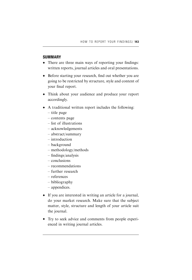# **SUMMARY**

- $\bullet$  There are three main ways of reporting your findings: written reports, journal articles and oral presentations.
- Before starting your research, find out whether you are going to be restricted by structure, style and content of your final report.
- Think about your audience and produce your report accordingly.
- $\bullet$  A traditional written report includes the following:
	- title page
	- contents page
	- list of illustrations
	- acknowledgements
	- abstract/summary
	- introduction
	- background
	- methodology/methods
	- findings/analysis
	- conclusions
	- recommendations
	- further research
	- references
	- bibliography
	- appendices.
- $\bullet$  If you are interested in writing an article for a journal, do your market research. Make sure that the subject matter, style, structure and length of your article suit the journal.
- $\bullet$  Try to seek advice and comments from people experienced in writing journal articles.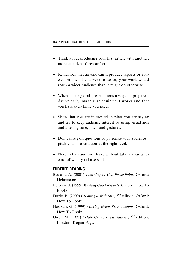- $\bullet$  Think about producing your first article with another, more experienced researcher.
- $\triangle$  Remember that anyone can reproduce reports or articles on-line. If you were to do so, your work would reach a wider audience than it might do otherwise.
- $\bullet$  When making oral presentations always be prepared. Arrive early, make sure equipment works and that you have everything you need.
- $\bullet$  Show that you are interested in what you are saying and try to keep audience interest by using visual aids and altering tone, pitch and gestures.
- $\bullet$  Don't shrug off questions or patronise your audience pitch your presentation at the right level.
- $\bullet$  Never let an audience leave without taking away a record of what you have said.

## FURTHER READING

- Bessant, A. (2001) Learning to Use PowerPoint, Oxford: Heinemann.
- Bowden, J. (1999) Writing Good Reports, Oxford: How To Books.
- Durie, B. (2000) Creating a Web Site, 3<sup>rd</sup> edition, Oxford: How To Books.
- Hasbani, G. (1999) Making Great Presentations, Oxford: How To Books.
- Owen, M. (1998) *I Hate Giving Presentations*, 2<sup>nd</sup> edition, London: Kogan Page.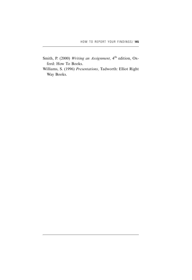- Smith, P. (2000) Writing an Assignment,  $4<sup>th</sup>$  edition, Oxford: How To Books.
- Williams, S. (1996) Presentations, Tadworth: Elliot Right Way Books.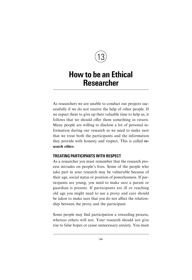

# How to be an Ethical Researcher

As researchers we are unable to conduct our projects successfully if we do not receive the help of other people. If we expect them to give up their valuable time to help us, it follows that we should offer them something in return. Many people are willing to disclose a lot of personal information during our research so we need to make sure that we treat both the participants and the information they provide with honesty and respect. This is called research ethics.

# TREATING PARTICIPANTS WITH RESPECT

As a researcher you must remember that the research process intrudes on people's lives. Some of the people who take part in your research may be vulnerable because of their age, social status or position of powerlessness. If participants are young, you need to make sure a parent or guardian is present. If participants are ill or reaching old age you might need to use a proxy and care should be taken to make sure that you do not affect the relationship between the proxy and the participant.

Some people may find participation a rewarding process, whereas others will not. Your research should not give rise to false hopes or cause unnecessary anxiety. You must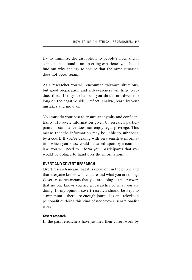try to minimise the disruption to people's lives and if someone has found it an upsetting experience you should find out why and try to ensure that the same situation does not occur again.

As a researcher you will encounter awkward situations, but good preparation and self-awareness will help to reduce these. If they do happen, you should not dwell too long on the negative side – reflect, analyse, learn by your mistakes and move on.

You must do your best to ensure anonymity and confidentiality. However, information given by research participants in confidence does not enjoy legal privilege. This means that the information may be liable to subpoena by a court. If you're dealing with very sensitive information which you know could be called upon by a court of law, you will need to inform your participants that you would be obliged to hand over the information.

# OVERT AND COVERT RESEARCH

Overt research means that it is open, out in the public and that everyone knows who you are and what you are doing. Covert research means that you are doing it under cover, that no one knows you are a researcher or what you are doing. In my opinion covert research should be kept to a minimum – there are enough journalists and television personalities doing this kind of undercover, sensationalist work.

## Covert research

In the past researchers have justified their covert work by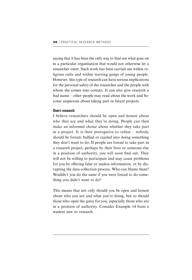saying that it has been the only way to find out what goes on in a particular organisation that would not otherwise let a researcher enter. Such work has been carried out within religious cults and within warring gangs of young people. However, this type of research can have serious implications for the personal safety of the researcher and the people with whom she comes into contact. It can also give research a bad name – other people may read about the work and become suspicious about taking part in future projects.

#### Overt research

I believe researchers should be open and honest about who they are and what they're doing. People can then make an informed choice about whether they take part in a project. It is their prerogative to refuse – nobody should be forced, bullied or cajoled into doing something they don't want to do. If people are forced to take part in a research project, perhaps by their boss or someone else in a position of authority, you will soon find out. They will not be willing to participate and may cause problems for you by offering false or useless information, or by disrupting the data collection process. Who can blame them? Wouldn't you do the same if you were forced to do something you didn't want to do?

This means that not only should you be open and honest about who you are and what you're doing, but so should those who open the gates for you, especially those who are in a position of authority. Consider Example 14 from a student new to research.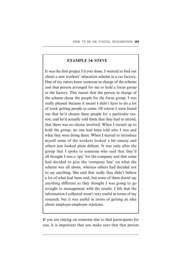#### EXAMPLE 14: STEVE

It was the first project I'd ever done. I wanted to find out about a new workers' education scheme in a car factory. One of my tutors knew someone in charge of the scheme and that person arranged for me to hold a focus group in the factory. This meant that the person in charge of the scheme chose the people for the focus group. I was really pleased because it meant I didn't have to do a lot of work getting people to come. Of course I soon found out that he'd chosen these people for a particular reason, and he'd actually told them that they had to attend, that there was no choice involved. When I turned up to hold the group, no one had been told who I was and what they were doing there. When I started to introduce myself some of the workers looked a bit uneasy and others just looked plain defiant. It was only after the group that I spoke to someone who said that they'd all thought I was a 'spy' for the company and that some had decided to give the 'company line' on what the scheme was all about, whereas others had decided not to say anything. She said that really they didn't believe a lot of what had been said, but none of them dared say anything different as they thought I was going to go straight to management with the results. I felt that the information I collected wasn't very useful in terms of my research, but it was useful in terms of getting an idea about employer-employee relations.

If you are relying on someone else to find participants for you, it is important that you make sure that that person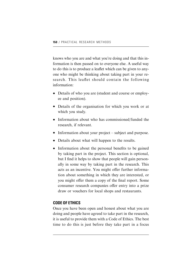knows who you are and what you're doing and that this information is then passed on to everyone else. A useful way to do this is to produce a leaflet which can be given to anyone who might be thinking about taking part in your research. This leaflet should contain the following information:

- Details of who you are (student and course or employee and position).
- $\bullet$  Details of the organisation for which you work or at which you study.
- $\bullet$  Information about who has commissioned/funded the research, if relevant.
- $\bullet$  Information about your project subject and purpose.
- $\bullet$  Details about what will happen to the results.
- $\bullet$  Information about the personal benefits to be gained by taking part in the project. This section is optional, but I find it helps to show that people will gain personally in some way by taking part in the research. This acts as an incentive. You might offer further information about something in which they are interested, or you might offer them a copy of the final report. Some consumer research companies offer entry into a prize draw or vouchers for local shops and restaurants.

# CODE OF ETHICS

Once you have been open and honest about what you are doing and people have agreed to take part in the research, it is useful to provide them with a Code of Ethics. The best time to do this is just before they take part in a focus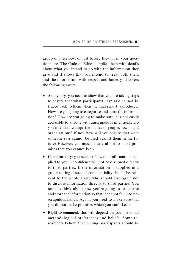group or interview, or just before they fill in your questionnaire. The Code of Ethics supplies them with details about what you intend to do with the information they give and it shows that you intend to treat both them and the information with respect and honesty. It covers the following issues:

- $\triangle$  Anonymity: you need to show that you are taking steps to ensure that what participants have said cannot be traced back to them when the final report is produced. How are you going to categorise and store the information? How are you going to make sure it is not easily accessible to anyone with unscrupulous intentions? Do you intend to change the names of people, towns and organisations? If not, how will you ensure that what someone says cannot be used against them in the future? However, you must be careful not to make promises that you cannot keep.
- Confidentiality: you need to show that information supplied to you in confidence will not be disclosed directly to third parties. If the information is supplied in a group setting, issues of confidentiality should be relevant to the whole group who should also agree not to disclose information directly to third parties. You need to think about how you're going to categorise and store the information so that it cannot fall into unscrupulous hands. Again, you need to make sure that you do not make promises which you can't keep.
- **Right to comment:** this will depend on your personal methodological preferences and beliefs. Some researchers believe that willing participants should be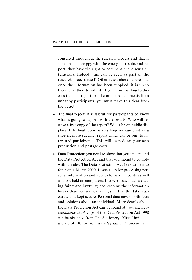consulted throughout the research process and that if someone is unhappy with the emerging results and report, they have the right to comment and discuss alterations. Indeed, this can be seen as part of the research process itself. Other researchers believe that once the information has been supplied, it is up to them what they do with it. If you're not willing to discuss the final report or take on board comments from unhappy participants, you must make this clear from the outset.

- $\bullet$  The final report: it is useful for participants to know what is going to happen with the results. Who will receive a free copy of the report? Will it be on public display? If the final report is very long you can produce a shorter, more succinct report which can be sent to interested participants. This will keep down your own production and postage costs.
- Data Protection: you need to show that you understand the Data Protection Act and that you intend to comply with its rules. The Data Protection Act 1998 came into force on 1 March 2000. It sets rules for processing personal information and applies to paper records as well as those held on computers. It covers issues such as acting fairly and lawfully; not keeping the information longer than necessary; making sure that the data is accurate and kept secure. Personal data covers both facts and opinions about an individual. More details about the Data Protection Act can be found at www.dataprotection.gov.uk. A copy of the Data Protection Act 1998 can be obtained from The Stationery Office Limited at a price of £10, or from www.legislation.hmso.gov.uk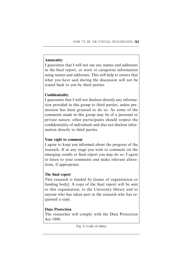# Anonymity

I guarantee that I will not use any names and addresses in the final report, or store or categorise information using names and addresses. This will help to ensure that what you have said during the discussion will not be traced back to you by third parties.

# **Confidentiality**

I guarantee that I will not disclose directly any information provided in this group to third parties, unless permission has been granted to do so. As some of the comments made in this group may be of a personal or private nature, other participants should respect the confidentiality of individuals and also not disclose information directly to third parties.

# Your right to comment

I agree to keep you informed about the progress of the research. If at any stage you wish to comment on the emerging results or final report you may do so. I agree to listen to your comments and make relevant alterations, if appropriate.

# The final report

This research is funded by [name of organisation or funding body]. A copy of the final report will be sent to this organisation, to the University library and to anyone who has taken part in the research who has requested a copy.

# Data Protection

The researcher will comply with the Data Protection Act 1998.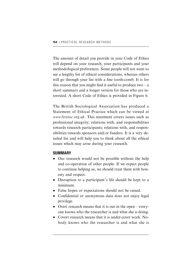The amount of detail you provide in your Code of Ethics will depend on your research, your participants and your methodological preferences. Some people will not want to see a lengthy list of ethical considerations, whereas others will go through your list with a fine tooth-comb. It is for this reason that you might find it useful to produce two  $-$  a short summary and a longer version for those who are interested. A short Code of Ethics is provided in Figure 6.

The British Sociological Association has produced a Statement of Ethical Practice which can be viewed at www.britsoc.org.uk. This statement covers issues such as professional integrity; relations with, and responsibilities towards research participants; relations with, and responsibilities towards sponsors and/or funders. It is a very detailed list and will help you to think about all the ethical issues which may arise during your research.

## SUMMARY

- $\bullet$  Our research would not be possible without the help and co-operation of other people. If we expect people to continue helping us, we should treat them with honesty and respect.
- $\bullet$  Disruption to a participant's life should be kept to a minimum.
- $\bullet$  False hopes or expectations should not be raised.
- Confidential or anonymous data does not enjoy legal privilege.
- $\bullet$  Overt research means that it is out in the open everyone knows who the researcher is and what she is doing.
- $\bullet$  Covert research means that it is under-cover work. Nobody knows who the researcher is and what she is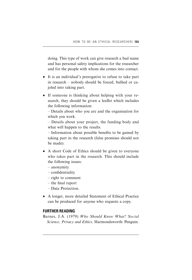doing. This type of work can give research a bad name and has personal safety implications for the researcher and for the people with whom she comes into contact.

- $\bullet$  It is an individual's prerogative to refuse to take part in research – nobody should be forced, bullied or cajoled into taking part.
- $\bullet$  If someone is thinking about helping with your research, they should be given a leaflet which includes the following information:

– Details about who you are and the organisation for which you work.

– Details about your project, the funding body and what will happen to the results.

– Information about possible benefits to be gained by taking part in the research (false promises should not be made).

- $\bullet$  A short Code of Ethics should be given to everyone who takes part in the research. This should include the following issues:
	- anonymity
	- confidentiality
	- right to comment
	- the final report
	- Data Protection.
- A longer, more detailed Statement of Ethical Practice can be produced for anyone who requests a copy.

# FURTHER READING

Barnes, J.A. (1979) Who Should Know What? Social Science, Privacy and Ethics, Harmondsworth: Penguin.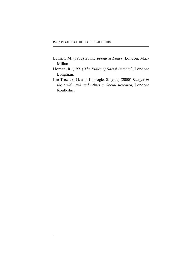- Bulmer, M. (1982) Social Research Ethics, London: Mac-Millan.
- Homan, R. (1991) The Ethics of Social Research, London: Longman.
- Lee-Trewick, G. and Linkogle, S. (eds.) (2000) Danger in the Field: Risk and Ethics in Social Research, London: Routledge.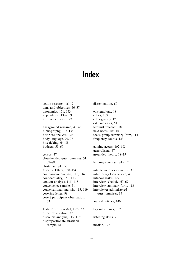# Index

action research, 16–17 aims and objectives, 56–57 anonymity, 151, 153 appendices, 138–139 arithmetic mean, 127 background research, 40–46 bibliography, 137–138 bivariate analysis, 126 body language, 70, 76 box-ticking, 64, 88 budgets, 59–60 census, 47 closed-ended questionnaires, 31, 87–88 cluster sample, 50 Code of Ethics, 150–154 comparative analysis, 115, 116 confidentiality, 151, 153 content analysis, 115, 118 convenience sample, 51 conversational analysis, 115, 119 covering letter, 99 covert participant observation, 33 Data Protection Act, 152–153 direct observation, 32

discourse analysis, 115, 119 disproportionate stratified sample, 51

dissemination, 60 epistemology, 18 ethics, 103 ethnography, 17 extreme cases, 51 feminist research, 18 field notes, 106–107 focus group summary form, 114 frequency counts, 123 gaining access, 102–103 generalising, 47 grounded theory, 18–19 heterogeneous samples, 51 interactive questionnaires, 32 interlibrary loan service, 43 interval scales, 127 interview schedule, 67–69 interview summary form, 113 interviewer-administered questionnaires, 87 journal articles, 140 key informants, 107 listening skills, 71

median, 127